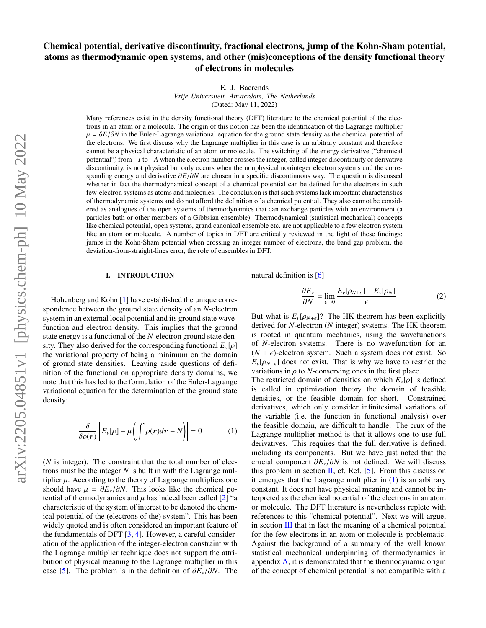# Chemical potential, derivative discontinuity, fractional electrons, jump of the Kohn-Sham potential, atoms as thermodynamic open systems, and other (mis)conceptions of the density functional theory of electrons in molecules

E. J. Baerends

*Vrije Universiteit, Amsterdam, The Netherlands*

(Dated: May 11, 2022)

Many references exist in the density functional theory (DFT) literature to the chemical potential of the electrons in an atom or a molecule. The origin of this notion has been the identification of the Lagrange multiplier  $\mu = \partial E/\partial N$  in the Euler-Lagrange variational equation for the ground state density as the chemical potential of the electrons. We first discuss why the Lagrange multiplier in this case is an arbitrary constant and therefore cannot be a physical characteristic of an atom or molecule. The switching of the energy derivative ("chemical potential") from −*I* to −*A* when the electron number crosses the integer, called integer discontinuity or derivative discontinuity, is not physical but only occurs when the nonphysical noninteger electron systems and the corresponding energy and derivative ∂*E*/∂*<sup>N</sup>* are chosen in a specific discontinuous way. The question is discussed whether in fact the thermodynamical concept of a chemical potential can be defined for the electrons in such few-electron systems as atoms and molecules. The conclusion is that such systems lack important characteristics of thermodynamic systems and do not afford the definition of a chemical potential. They also cannot be considered as analogues of the open systems of thermodynamics that can exchange particles with an environment (a particles bath or other members of a Gibbsian ensemble). Thermodynamical (statistical mechanical) concepts like chemical potential, open systems, grand canonical ensemble etc. are not applicable to a few electron system like an atom or molecule. A number of topics in DFT are critically reviewed in the light of these findings: jumps in the Kohn-Sham potential when crossing an integer number of electrons, the band gap problem, the deviation-from-straight-lines error, the role of ensembles in DFT.

#### I. INTRODUCTION

Hohenberg and Kohn [\[1\]](#page-20-0) have established the unique correspondence between the ground state density of an *N*-electron system in an external local potential and its ground state wavefunction and electron density. This implies that the ground state energy is a functional of the *N*-electron ground state density. They also derived for the corresponding functional  $E_{\nu}[\rho]$ the variational property of being a minimum on the domain of ground state densities. Leaving aside questions of definition of the functional on appropriate density domains, we note that this has led to the formulation of the Euler-Lagrange variational equation for the determination of the ground state density:

<span id="page-0-0"></span>
$$
\frac{\delta}{\delta \rho(\mathbf{r})} \left[ E_{\nu}[\rho] - \mu \left( \int \rho(\mathbf{r}) d\mathbf{r} - N \right) \right] = 0 \tag{1}
$$

(*N* is integer). The constraint that the total number of electrons must be the integer *N* is built in with the Lagrange multiplier  $\mu$ . According to the theory of Lagrange multipliers one should have  $\mu = \partial E_v / \partial N$ . This looks like the chemical potential of thermodynamics and  $\mu$  has indeed been called [\[2\]](#page-20-1) "a characteristic of the system of interest to be denoted the chemical potential of the (electrons of the) system". This has been widely quoted and is often considered an important feature of the fundamentals of DFT  $[3, 4]$  $[3, 4]$  $[3, 4]$ . However, a careful consideration of the application of the integer-electron constraint with the Lagrange multiplier technique does not support the attribution of physical meaning to the Lagrange multiplier in this case [\[5\]](#page-20-4). The problem is in the definition of ∂*E<sup>v</sup>*/∂*N*. The natural definition is [\[6\]](#page-20-5)

<span id="page-0-1"></span>
$$
\frac{\partial E_{\nu}}{\partial N} = \lim_{\epsilon \to 0} \frac{E_{\nu}[\rho_{N+\epsilon}] - E_{\nu}[\rho_N]}{\epsilon} \tag{2}
$$

But what is  $E_v[\rho_{N+\epsilon}]$ ? The HK theorem has been explicitly derived for *N*-electron (*N* integer) systems. The HK theorem is rooted in quantum mechanics, using the wavefunctions of *N*-electron systems. There is no wavefunction for an  $(N + \epsilon)$ -electron system. Such a system does not exist. So  $E_v[\rho_{N+\epsilon}]$  does not exist. That is why we have to restrict the variations in  $\rho$  to *N*-conserving ones in the first place.

The restricted domain of densities on which  $E_{\nu}[\rho]$  is defined is called in optimization theory the domain of feasible densities, or the feasible domain for short. Constrained derivatives, which only consider infinitesimal variations of the variable (i.e. the function in functional analysis) over the feasible domain, are difficult to handle. The crux of the Lagrange multiplier method is that it allows one to use full derivatives. This requires that the full derivative is defined, including its components. But we have just noted that the crucial component ∂*E<sup>v</sup>*/∂*<sup>N</sup>* is not defined. We will discuss this problem in section  $II$ , cf. Ref. [\[5\]](#page-20-4). From this discussion it emerges that the Lagrange multiplier in [\(1\)](#page-0-0) is an arbitrary constant. It does not have physical meaning and cannot be interpreted as the chemical potential of the electrons in an atom or molecule. The DFT literature is nevertheless replete with references to this "chemical potential". Next we will argue, in section [III](#page-4-0) that in fact the meaning of a chemical potential for the few electrons in an atom or molecule is problematic. Against the background of a summary of the well known statistical mechanical underpinning of thermodynamics in appendix [A,](#page-14-0) it is demonstrated that the thermodynamic origin of the concept of chemical potential is not compatible with a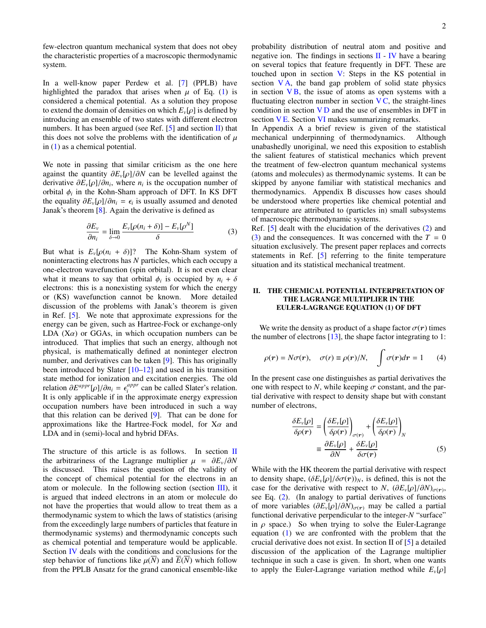few-electron quantum mechanical system that does not obey the characteristic properties of a macroscopic thermodynamic system.

In a well-know paper Perdew et al. [\[7\]](#page-20-6) (PPLB) have highlighted the paradox that arises when  $\mu$  of Eq. [\(1\)](#page-0-0) is considered a chemical potential. As a solution they propose to extend the domain of densities on which  $E_{\nu}[\rho]$  is defined by introducing an ensemble of two states with different electron numbers. It has been argued (see Ref.  $[5]$  and section [II\)](#page-1-0) that this does not solve the problems with the identification of  $\mu$ in [\(1\)](#page-0-0) as a chemical potential.

We note in passing that similar criticism as the one here against the quantity ∂*Ev*[ρ]/∂*<sup>N</sup>* can be levelled against the derivative  $\partial E_{\nu}[\rho]/\partial n_i$ , where  $n_i$  is the occupation number of orbital  $\phi$  in the Kohn-Sham approach of DFT In KS DFT orbital  $\phi_i$  in the Kohn-Sham approach of DFT. In KS DFT<br>the equality  $\partial F$  [o]  $/\partial p_i = \epsilon$  is usually assumed and denoted the equality  $\partial E_v[\rho]/\partial n_i = \epsilon_i$  is usually assumed and denoted Ianak's theorem [8]. Again the derivative is defined as Janak's theorem [\[8\]](#page-20-7). Again the derivative is defined as

$$
\frac{\partial E_{\nu}}{\partial n_i} = \lim_{\delta \to 0} \frac{E_{\nu}[\rho(n_i + \delta)] - E_{\nu}[\rho^N]}{\delta} \tag{3}
$$

But what is  $E_v[\rho(n_i + \delta)]$ ? The Kohn-Sham system of noninteracting electrons has *N* particles, which each occupy a one-electron wavefunction (spin orbital). It is not even clear what it means to say that orbital  $\phi_i$  is occupied by  $n_i + \delta$ <br>electrons: this is a nonexisting system for which the energy electrons: this is a nonexisting system for which the energy or (KS) wavefunction cannot be known. More detailed discussion of the problems with Janak's theorem is given in Ref. [\[5\]](#page-20-4). We note that approximate expressions for the energy can be given, such as Hartree-Fock or exchange-only LDA  $(X\alpha)$  or GGAs, in which occupation numbers can be introduced. That implies that such an energy, although not physical, is mathematically defined at noninteger electron number, and derivatives can be taken [\[9\]](#page-20-8). This has originally been introduced by Slater [\[10–](#page-20-9)[12\]](#page-20-10) and used in his transition state method for ionization and excitation energies. The old  $relation \frac{\partial E^{appr}}{\partial n_i} = \epsilon_i^{appr}$ <br>It is only applicable if in the  $i_i^{appr}$  can be called Slater's relation. It is only applicable if in the approximate energy expression occupation numbers have been introduced in such a way that this relation can be derived [\[9\]](#page-20-8). That can be done for approximations like the Hartree-Fock model, for  $X_{\alpha}$  and LDA and in (semi)-local and hybrid DFAs.

The structure of this article is as follows. In section [II](#page-1-0) the arbitrariness of the Lagrange multiplier  $\mu = \frac{\partial E_v}{\partial N}$ is discussed. This raises the question of the validity of the concept of chemical potential for the electrons in an atom or molecule. In the following section (section  $III$ ), it is argued that indeed electrons in an atom or molecule do not have the properties that would allow to treat them as a thermodynamic system to which the laws of statistics (arising from the exceedingly large numbers of particles that feature in thermodynamic systems) and thermodynamic concepts such as chemical potential and temperature would be applicable. Section [IV](#page-6-0) deals with the conditions and conclusions for the step behavior of functions like  $\mu(N)$  and  $E(N)$  which follow from the PPLB Ansatz for the grand canonical ensemble-like probability distribution of neutral atom and positive and negative ion. The findings in sections  $II - IV$  $II - IV$  $II - IV$  have a bearing on several topics that feature frequently in DFT. These are touched upon in section [V:](#page-9-0) Steps in the KS potential in section  $VA$ , the band gap problem of solid state physics in section  $VB$ , the issue of atoms as open systems with a fluctuating electron number in section  $VC$ , the straight-lines condition in section  $V D$  and the use of ensembles in DFT in section  $VE$ . Section [VI](#page-13-0) makes summarizing remarks.

In Appendix A a brief review is given of the statistical mechanical underpinning of thermodynamics. Although unabashedly unoriginal, we need this exposition to establish the salient features of statistical mechanics which prevent the treatment of few-electron quantum mechanical systems (atoms and molecules) as thermodynamic systems. It can be skipped by anyone familiar with statistical mechanics and thermodynamics. Appendix B discusses how cases should be understood where properties like chemical potential and temperature are attributed to (particles in) small subsystems of macroscopic thermodynamic systems.

<span id="page-1-1"></span>Ref. [\[5\]](#page-20-4) dealt with the elucidation of the derivatives [\(2\)](#page-0-1) and  $(3)$  and the consequences. It was concerned with the  $T = 0$ situation exclusively. The present paper replaces and corrects statements in Ref. [\[5\]](#page-20-4) referring to the finite temperature situation and its statistical mechanical treatment.

# <span id="page-1-0"></span>II. THE CHEMICAL POTENTIAL INTERPRETATION OF THE LAGRANGE MULTIPLIER IN THE EULER-LAGRANGE EQUATION (1) OF DFT

We write the density as product of a shape factor  $\sigma(r)$  times the number of electrons [\[13\]](#page-20-11), the shape factor integrating to 1:

$$
\rho(\mathbf{r}) = N\sigma(\mathbf{r}), \quad \sigma(\mathbf{r}) \equiv \rho(\mathbf{r})/N, \quad \int \sigma(\mathbf{r})d\mathbf{r} = 1 \qquad (4)
$$

In the present case one distinguishes as partial derivatives the one with respect to N, while keeping  $\sigma$  constant, and the partial derivative with respect to density shape but with constant number of electrons,

$$
\frac{\delta E_{\nu}[\rho]}{\delta \rho(\boldsymbol{r})} = \left(\frac{\delta E_{\nu}[\rho]}{\delta \rho(\boldsymbol{r})}\right)_{\sigma(\boldsymbol{r})} + \left(\frac{\delta E_{\nu}[\rho]}{\delta \rho(\boldsymbol{r})}\right)_{N}
$$

$$
\equiv \frac{\partial E_{\nu}[\rho]}{\partial N} + \frac{\delta E_{\nu}[\rho]}{\delta \sigma(\boldsymbol{r})}
$$
(5)

While with the HK theorem the partial derivative with respect to density shape,  $(\delta E_v[\rho]/\delta \sigma(r))_N$ , is defined, this is not the case for the derivative with respect to *N*,  $(\partial E_v[\rho]/\partial N)_{\sigma(r)}$ , see Eq. (2) (In analogy to partial derivatives of functions see Eq. [\(2\)](#page-0-1). (In analogy to partial derivatives of functions of more variables  $(\partial E_v[\rho]/\partial N)_{\sigma(r)}$  may be called a partial functional derivative perpendicular to the integer-*N* "surface" in  $\rho$  space.) So when trying to solve the Euler-Lagrange equation [\(1\)](#page-0-0) we are confronted with the problem that the crucial derivative does not exist. In section II of [\[5\]](#page-20-4) a detailed discussion of the application of the Lagrange multiplier technique in such a case is given. In short, when one wants to apply the Euler-Lagrange variation method while  $E_{\nu}[\rho]$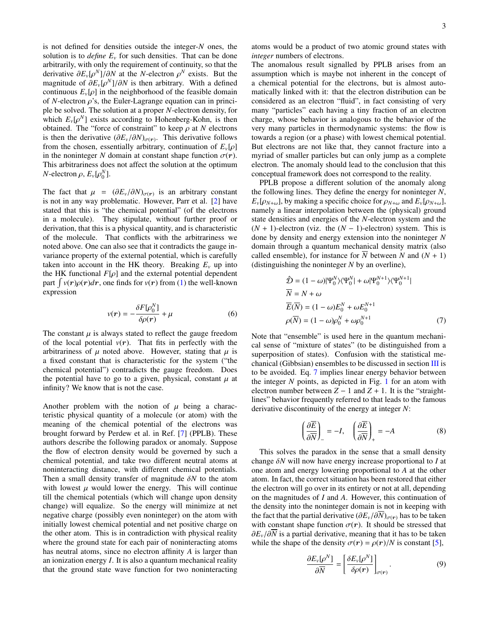is not defined for densities outside the integer-*N* ones, the solution is to *define*  $E<sub>v</sub>$  for such densities. That can be done arbitrarily, with only the requirement of continuity, so that the derivative  $\partial E_v[\rho^N]/\partial N$  at the *N*-electron  $\rho^N$  exists. But the magnitude of  $\partial F[\rho^N]/\partial N$  is then arbitrary. With a defined magnitude of  $\partial E_v[\rho^N]/\partial N$  is then arbitrary. With a defined<br>continuous *E* [*o*] in the neighborhood of the feasible domain continuous  $E_{\nu}[\rho]$  in the neighborhood of the feasible domain of *N*-electron  $\rho$ 's, the Euler-Lagrange equation can in principle be solved. The solution at a proper *N*-electron density, for which  $E_v[\rho^N]$  exists according to Hohenberg-Kohn, is then<br>obtained. The "force of constraint" to keep *o* at *N* electrons obtained. The "force of constraint" to keep  $\rho$  at *N* electrons is then the derivative  $(\partial E_v/\partial N)_{\sigma(r)}$ . This derivative follows from the chosen essentially arbitrary continuation of *E* [o] from the chosen, essentially arbitrary, continuation of  $E_v[\rho]$ in the noninteger *N* domain at constant shape function  $\sigma(\mathbf{r})$ . This arbitrariness does not affect the solution at the optimum *N*-electron  $\rho$ ,  $E_v[\rho_0^N]$ .

The fact that  $\mu = (\partial E_v/\partial N)_{\sigma(r)}$  is an arbitrary constant<br>is not in any way problematic. However Parr et al. [2] have is not in any way problematic. However, Parr et al. [\[2\]](#page-20-1) have stated that this is "the chemical potential" (of the electrons in a molecule). They stipulate, without further proof or derivation, that this is a physical quantity, and is characteristic of the molecule. That conflicts with the arbitrariness we noted above. One can also see that it contradicts the gauge invariance property of the external potential, which is carefully taken into account in the HK theory. Breaking  $E<sub>v</sub>$  up into the HK functional  $F[\rho]$  and the external potential dependent part  $\int v(r)\rho(r)dr$ , one finds for  $v(r)$  from [\(1\)](#page-0-0) the well-known expression expression

$$
v(r) = -\frac{\delta F[\rho_0^N]}{\delta \rho(r)} + \mu \tag{6}
$$

The constant  $\mu$  is always stated to reflect the gauge freedom of the local potential  $v(r)$ . That fits in perfectly with the arbitrariness of  $\mu$  noted above. However, stating that  $\mu$  is a fixed constant that is characteristic for the system ("the chemical potential") contradicts the gauge freedom. Does the potential have to go to a given, physical, constant  $\mu$  at infinity? We know that is not the case.

Another problem with the notion of  $\mu$  being a characteristic physical quantity of a molecule (or atom) with the meaning of the chemical potential of the electrons was brought forward by Perdew et al. in Ref. [\[7\]](#page-20-6) (PPLB). These authors describe the following paradox or anomaly. Suppose the flow of electron density would be governed by such a chemical potential, and take two different neutral atoms at noninteracting distance, with different chemical potentials. Then a small density transfer of magnitude δ*<sup>N</sup>* to the atom with lowest  $\mu$  would lower the energy. This will continue till the chemical potentials (which will change upon density change) will equalize. So the energy will minimize at net negative charge (possibly even noninteger) on the atom with initially lowest chemical potential and net positive charge on the other atom. This is in contradiction with physical reality where the ground state for each pair of noninteracting atoms has neutral atoms, since no electron affinity *A* is larger than an ionization energy *I*. It is also a quantum mechanical reality that the ground state wave function for two noninteracting atoms would be a product of two atomic ground states with *integer* numbers of electrons.

The anomalous result signalled by PPLB arises from an assumption which is maybe not inherent in the concept of a chemical potential for the electrons, but is almost automatically linked with it: that the electron distribution can be considered as an electron "fluid", in fact consisting of very many "particles" each having a tiny fraction of an electron charge, whose behavior is analogous to the behavior of the very many particles in thermodynamic systems: the flow is towards a region (or a phase) with lowest chemical potential. But electrons are not like that, they cannot fracture into a myriad of smaller particles but can only jump as a complete electron. The anomaly should lead to the conclusion that this conceptual framework does not correspond to the reality.

PPLB propose a different solution of the anomaly along the following lines. They define the energy for noninteger *N*,  $E_v[\rho_{N+\omega}]$ , by making a specific choice for  $\rho_{N+\omega}$  and  $E_v[\rho_{N+\omega}]$ , namely a linear interpolation between the (physical) ground state densities and energies of the *N*-electron system and the  $(N + 1)$ -electron (viz. the  $(N - 1)$ -electron) system. This is done by density and energy extension into the noninteger *N* domain through a quantum mechanical density matrix (also called ensemble), for instance for  $\overline{N}$  between *N* and  $(N + 1)$ (distinguishing the noninteger *N* by an overline),

<span id="page-2-0"></span>
$$
\hat{\mathcal{D}} = (1 - \omega)|\Psi_0^N\rangle\langle\Psi_0^N| + \omega|\Psi_0^{N+1}\rangle\langle\Psi_0^{N+1}|
$$
  
\n
$$
\overline{N} = N + \omega
$$
  
\n
$$
\overline{E}(\overline{N}) = (1 - \omega)E_0^N + \omega E_0^{N+1}
$$
  
\n
$$
\rho(\overline{N}) = (1 - \omega)\rho_0^N + \omega\rho_0^{N+1}
$$
\n(7)

Note that "ensemble" is used here in the quantum mechanical sense of "mixture of states" (to be distinguished from a superposition of states). Confusion with the statistical mechanical (Gibbsian) ensembles to be discussed in section [III](#page-4-0) is to be avoided. Eq. [7](#page-2-0) implies linear energy behavior between the integer  $N$  points, as depicted in Fig. [1](#page-3-0) for an atom with electron number between  $Z - 1$  and  $Z + 1$ . It is the "straightlines" behavior frequently referred to that leads to the famous derivative discontinuity of the energy at integer *N*:

$$
\left(\frac{\partial \overline{E}}{\partial \overline{N}}\right)_{-} = -I, \quad \left(\frac{\partial \overline{E}}{\partial \overline{N}}\right)_{+} = -A \tag{8}
$$

This solves the paradox in the sense that a small density change δ*<sup>N</sup>* will now have energy increase proportional to *<sup>I</sup>* at one atom and energy lowering proportional to *A* at the other atom. In fact, the correct situation has been restored that either the electron will go over in its entirety or not at all, depending on the magnitudes of *I* and *A*. However, this continuation of the density into the noninteger domain is not in keeping with the fact that the partial derivative  $(\partial E_v/\partial \overline{N})_{\sigma(\mathbf{r})}$  has to be taken with constant shape function  $\sigma(r)$ . It should be stressed that ∂*E<sup>v</sup>*/∂*<sup>N</sup>* is a partial derivative, meaning that it has to be taken while the shape of the density  $\sigma(r) = \rho(r)/N$  is constant [\[5\]](#page-20-4),

$$
\frac{\partial E_{\nu}[\rho^N]}{\partial \overline{N}} = \left[\frac{\partial E_{\nu}[\rho^N]}{\delta \rho(\boldsymbol{r})}\right]_{\sigma(\boldsymbol{r})}.\tag{9}
$$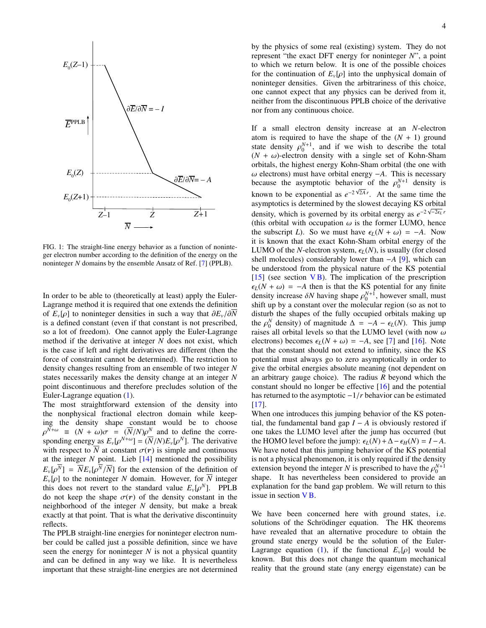

<span id="page-3-0"></span>FIG. 1: The straight-line energy behavior as a function of noninteger electron number according to the definition of the energy on the noninteger *N* domains by the ensemble Ansatz of Ref. [\[7\]](#page-20-6) (PPLB).

In order to be able to (theoretically at least) apply the Euler-Lagrange method it is required that one extends the definition of  $E_v[\rho]$  to noninteger densities in such a way that  $\partial E_v/\partial N$ is a defined constant (even if that constant is not prescribed, so a lot of freedom). One cannot apply the Euler-Lagrange method if the derivative at integer *N* does not exist, which is the case if left and right derivatives are different (then the force of constraint cannot be determined). The restriction to density changes resulting from an ensemble of two integer *N* states necessarily makes the density change at an integer *N* point discontinuous and therefore precludes solution of the Euler-Lagrange equation [\(1\)](#page-0-0).

The most straightforward extension of the density into the nonphysical fractional electron domain while keeping the density shape constant would be to choose sponding energy as  $E_v[\rho^{N+\omega}] = (\overline{N}/N)E_v[\rho^N]$ . The derivative<br>with respect to  $\overline{N}$  at constant  $\sigma(\mathbf{r})$  is simple and continuous  $N+\omega \equiv (N+\omega)\sigma = (\overline{N}/N)\rho^N$  and to define the corre-<br>ponding energy as  $F[\rho^{N+\omega}] - (\overline{N}/N)F[\rho^{N}]$ . The derivative with respect to  $\overline{N}$  at constant  $\sigma(r)$  is simple and continuous at the integer  $N$  point. Lieb  $[14]$  mentioned the possibility  $E_v[\rho^N] = \overline{N}E_v[\rho^N/\overline{N}]$  for the extension of the definition of  $F$  [o] to the noninteger N domain. However, for  $\overline{N}$  integer  $E_v[\rho]$  to the noninteger *N* domain. However, for  $\overline{N}$  integer this does not revert to the standard value  $E_v[\rho^N]$ . PPLB<br>do not keen the shape  $\sigma(r)$  of the density constant in the do not keep the shape  $\sigma(r)$  of the density constant in the neighborhood of the integer *N* density, but make a break exactly at that point. That is what the derivative discontinuity reflects.

The PPLB straight-line energies for noninteger electron number could be called just a possible definition, since we have seen the energy for noninteger *N* is not a physical quantity and can be defined in any way we like. It is nevertheless important that these straight-line energies are not determined by the physics of some real (existing) system. They do not represent "the exact DFT energy for noninteger *N*", a point to which we return below. It is one of the possible choices for the continuation of  $E_{\nu}[\rho]$  into the unphysical domain of noninteger densities. Given the arbitrariness of this choice, one cannot expect that any physics can be derived from it, neither from the discontinuous PPLB choice of the derivative nor from any continuous choice.

If a small electron density increase at an *N*-electron atom is required to have the shape of the  $(N + 1)$  ground state density  $\rho_0^{N+1}$ , and if we wish to describe the total  $(N + \omega)$ -electron density with a single set of Kohn-Sham  $(N + \omega)$ -electron density with a single set of Kohn-Sham orbitals, the highest energy Kohn-Sham orbital (the one with  $\omega$  electrons) must have orbital energy  $-A$ . This is necessary because the asymptotic behavior of the  $\rho_0^{N+1}$  density is known to be exponential as  $e^{-2\sqrt{2A}r}$ . At the same time the asymptotics is determined by the slowest decaying KS orbital density, which is governed by its orbital energy as  $e^{-2\sqrt{-2\epsilon_L}r}$ (this orbital with occupation  $\omega$  is the former LUMO, hence the subscript *L*). So we must have  $\epsilon_L(N + \omega) = -A$ . Now it is known that the exact Kohn-Sham orbital energy of the LUMO of the *N*-electron system,  $\epsilon_L(N)$ , is usually (for closed shell molecules) considerably lower than −*A* [\[9\]](#page-20-8), which can be understood from the physical nature of the KS potential  $[15]$  (see section VB). The implication of the prescription  $\epsilon_L(N + \omega) = -A$  then is that the KS potential for any finite density increase  $\delta N$  having shape  $\rho_0^{N+1}$ , however small, must<br>shift up by a constant over the molecular region (so as not to shift up by a constant over the molecular region (so as not to disturb the shapes of the fully occupied orbitals making up the  $\rho_0^N$  density) of magnitude  $\Delta = -A - \epsilon_L(N)$ . This jump raises all orbital levels so that the LUMO level (with now  $\omega$ raises all orbital levels so that the LUMO level (with now  $\omega$ electrons) becomes  $\epsilon_L(N + \omega) = -A$ , see [\[7\]](#page-20-6) and [\[16\]](#page-20-14). Note that the constant should not extend to infinity, since the KS potential must always go to zero asymptotically in order to give the orbital energies absolute meaning (not dependent on an arbitrary gauge choice). The radius *R* beyond which the constant should no longer be effective [\[16\]](#page-20-14) and the potential has returned to the asymptotic <sup>−</sup>1/*<sup>r</sup>* behavior can be estimated [\[17\]](#page-20-15).

When one introduces this jumping behavior of the KS potential, the fundamental band gap  $I - A$  is obviously restored if one takes the LUMO level after the jump has occurred (but the HOMO level before the jump):  $\epsilon_L(N) + \Delta - \epsilon_H(N) = I - A$ . We have noted that this jumping behavior of the KS potential is not a physical phenomenon, it is only required if the density extension beyond the integer *N* is prescribed to have the  $\rho_0^{N+1}$ <br>shape It has nevertheless been considered to provide an shape. It has nevertheless been considered to provide an explanation for the band gap problem. We will return to this issue in section VB.

We have been concerned here with ground states, i.e. solutions of the Schrödinger equation. The HK theorems have revealed that an alternative procedure to obtain the ground state energy would be the solution of the Euler-Lagrange equation [\(1\)](#page-0-0), if the functional  $E_{\nu}[\rho]$  would be known. But this does not change the quantum mechanical reality that the ground state (any energy eigenstate) can be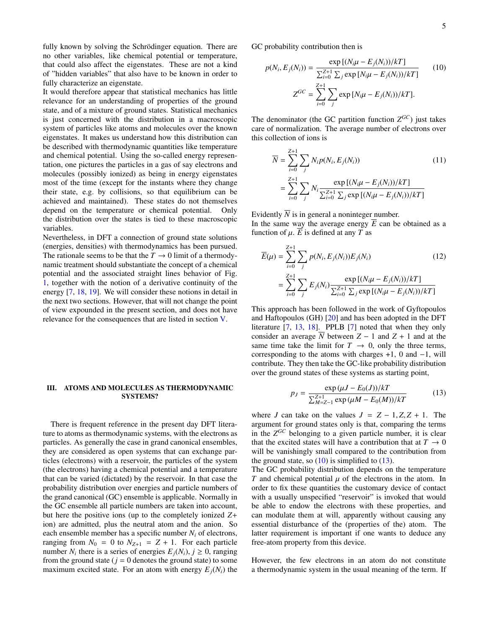fully known by solving the Schrödinger equation. There are no other variables, like chemical potential or temperature, that could also affect the eigenstates. These are not a kind of "hidden variables" that also have to be known in order to fully characterize an eigenstate.

It would therefore appear that statistical mechanics has little relevance for an understanding of properties of the ground state, and of a mixture of ground states. Statistical mechanics is just concerned with the distribution in a macroscopic system of particles like atoms and molecules over the known eigenstates. It makes us understand how this distribution can be described with thermodynamic quantities like temperature and chemical potential. Using the so-called energy representation, one pictures the particles in a gas of say electrons and molecules (possibly ionized) as being in energy eigenstates most of the time (except for the instants where they change their state, e.g. by collisions, so that equilibrium can be achieved and maintained). These states do not themselves depend on the temperature or chemical potential. Only the distribution over the states is tied to these macroscopic variables.

Nevertheless, in DFT a connection of ground state solutions (energies, densities) with thermodynamics has been pursued. The rationale seems to be that the  $T \rightarrow 0$  limit of a thermodynamic treatment should substantiate the concept of a chemical potential and the associated straight lines behavior of Fig. [1,](#page-3-0) together with the notion of a derivative continuity of the energy [\[7,](#page-20-6) [18,](#page-20-16) [19\]](#page-20-17). We will consider these notions in detail in the next two sections. However, that will not change the point of view expounded in the present section, and does not have relevance for the consequences that are listed in section [V.](#page-9-0)

# <span id="page-4-0"></span>III. ATOMS AND MOLECULES AS THERMODYNAMIC SYSTEMS?

There is frequent reference in the present day DFT literature to atoms as thermodynamic systems, with the electrons as particles. As generally the case in grand canonical ensembles, they are considered as open systems that can exchange particles (electrons) with a reservoir, the particles of the system (the electrons) having a chemical potential and a temperature that can be varied (dictated) by the reservoir. In that case the probability distribution over energies and particle numbers of the grand canonical (GC) ensemble is applicable. Normally in the GC ensemble all particle numbers are taken into account, but here the positive ions (up to the completely ionized *Z*+ ion) are admitted, plus the neutral atom and the anion. So each ensemble member has a specific number *N<sup>i</sup>* of electrons, ranging from  $N_0 = 0$  to  $N_{Z+1} = Z + 1$ . For each particle number  $N_i$  there is a series of energies  $E_j(N_i)$ ,  $j \ge 0$ , ranging from the ground state ( $i - 0$  denotes the ground state) to some from the ground state ( $j = 0$  denotes the ground state) to some maximum excited state. For an atom with energy  $E_i(N_i)$  the GC probability contribution then is

<span id="page-4-1"></span>
$$
p(N_i, E_j(N_i)) = \frac{\exp [(N_i \mu - E_j(N_i))/kT]}{\sum_{i=0}^{Z+1} \sum_j \exp [N_i \mu - E_j(N_i))/kT]}
$$
(10)  

$$
Z^{GC} = \sum_{i=0}^{Z+1} \sum_j \exp [N_i \mu - E_j(N_i))/kT].
$$

The denominator (the GC partition function  $Z^{GC}$ ) just takes care of normalization. The average number of electrons over this collection of ions is

<span id="page-4-3"></span>
$$
\overline{N} = \sum_{i=0}^{Z+1} \sum_{j} N_i p(N_i, E_j(N_i))
$$
\n
$$
= \sum_{i=0}^{Z+1} \sum_{j} N_i \frac{\exp [(N_i \mu - E_j(N_i))/kT]}{\sum_{i=0}^{Z+1} \sum_{j} \exp [(N_i \mu - E_j(N_i))/kT]}
$$
\n(11)

Evidently  $\overline{N}$  is in general a noninteger number.

In the same way the average energy  $\overline{E}$  can be obtained as a function of  $\mu$ .  $\overline{E}$  is defined at any *T* as

<span id="page-4-4"></span>
$$
\overline{E}(\mu) = \sum_{i=0}^{Z+1} \sum_{j} p(N_i, E_j(N_i)) E_j(N_i)
$$
(12)  

$$
= \sum_{i=0}^{Z+1} \sum_{j} E_j(N_i) \frac{\exp [(N_i \mu - E_j(N_i))/kT]}{\sum_{i=0}^{Z+1} \sum_{j} \exp [(N_i \mu - E_j(N_i))/kT]}
$$

This approach has been followed in the work of Gyftopoulos and Haftopoulos (GH) [\[20\]](#page-20-18) and has been adopted in the DFT literature [\[7,](#page-20-6) [13,](#page-20-11) [18\]](#page-20-16). PPLB [\[7\]](#page-20-6) noted that when they only consider an average  $\overline{N}$  between  $Z - 1$  and  $Z + 1$  and at the same time take the limit for  $T \rightarrow 0$ , only the three terms, corresponding to the atoms with charges +1, 0 and −1, will contribute. They then take the GC-like probability distribution over the ground states of these systems as starting point,

<span id="page-4-2"></span>
$$
p_J = \frac{\exp(\mu J - E_0(J))/kT}{\sum_{M=Z-1}^{Z+1} \exp(\mu M - E_0(M))/kT}
$$
(13)

where *J* can take on the values  $J = Z - 1, Z, Z + 1$ . The argument for ground states only is that, comparing the terms in the  $Z^{GC}$  belonging to a given particle number, it is clear that the excited states will have a contribution that at  $T \to 0$ will be vanishingly small compared to the contribution from the ground state, so  $(10)$  is simplified to  $(13)$ .

The GC probability distribution depends on the temperature *T* and chemical potential  $\mu$  of the electrons in the atom. In order to fix these quantities the customary device of contact with a usually unspecified "reservoir" is invoked that would be able to endow the electrons with these properties, and can modulate them at will, apparently without causing any essential disturbance of the (properties of the) atom. The latter requirement is important if one wants to deduce any free-atom property from this device.

However, the few electrons in an atom do not constitute a thermodynamic system in the usual meaning of the term. If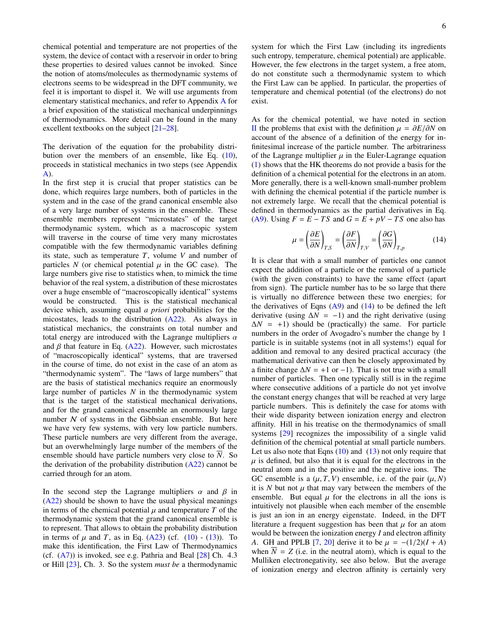chemical potential and temperature are not properties of the system, the device of contact with a reservoir in order to bring these properties to desired values cannot be invoked. Since the notion of atoms/molecules as thermodynamic systems of electrons seems to be widespread in the DFT community, we feel it is important to dispel it. We will use arguments from elementary statistical mechanics, and refer to Appendix [A](#page-14-0) for a brief exposition of the statistical mechanical underpinnings of thermodynamics. More detail can be found in the many excellent textbooks on the subject [\[21–](#page-20-19)[28\]](#page-20-20).

The derivation of the equation for the probability distribution over the members of an ensemble, like Eq. [\(10\)](#page-4-1), proceeds in statistical mechanics in two steps (see Appendix [A\)](#page-14-0).

In the first step it is crucial that proper statistics can be done, which requires large numbers, both of particles in the system and in the case of the grand canonical ensemble also of a very large number of systems in the ensemble. These ensemble members represent "microstates" of the target thermodynamic system, which as a macroscopic system will traverse in the course of time very many microstates compatible with the few thermodynamic variables defining its state, such as temperature *T*, volume *V* and number of particles  $N$  (or chemical potential  $\mu$  in the GC case). The large numbers give rise to statistics when, to mimick the time behavior of the real system, a distribution of these microstates over a huge ensemble of "macroscopically identical" systems would be constructed. This is the statistical mechanical device which, assuming equal *a priori* probabilities for the micostates, leads to the distribution [\(A22\)](#page-17-0). As always in statistical mechanics, the constraints on total number and total energy are introduced with the Lagrange multipliers  $\alpha$ and  $\beta$  that feature in Eq. [\(A22\)](#page-17-0). However, such microstates of "macroscopically identical" systems, that are traversed in the course of time, do not exist in the case of an atom as "thermodynamic system". The "laws of large numbers" that are the basis of statistical mechanics require an enormously large number of particles *N* in the thermodynamic system that is the target of the statistical mechanical derivations, and for the grand canonical ensemble an enormously large number  $N$  of systems in the Gibbsian ensemble. But here we have very few systems, with very low particle numbers. These particle numbers are very different from the average, but an overwhelmingly large number of the members of the ensemble should have particle numbers very close to  $\overline{N}$ . So the derivation of the probability distribution [\(A22\)](#page-17-0) cannot be carried through for an atom.

In the second step the Lagrange multipliers  $\alpha$  and  $\beta$  in [\(A22\)](#page-17-0) should be shown to have the usual physical meanings in terms of the chemical potential  $\mu$  and temperature  $T$  of the thermodynamic system that the grand canonical ensemble is to represent. That allows to obtain the probability distribution in terms of  $\mu$  and *T*, as in Eq. [\(A23\)](#page-17-1) (cf. [\(10\)](#page-4-1) - [\(13\)](#page-4-2)). To make this identification, the First Law of Thermodynamics (cf.  $(A7)$ ) is invoked, see e.g. Pathria and Beal  $[28]$  Ch. 4.3 or Hill [\[23\]](#page-20-21), Ch. 3. So the system *must be* a thermodynamic system for which the First Law (including its ingredients such entropy, temperature, chemical potential) are applicable. However, the few electrons in the target system, a free atom, do not constitute such a thermodynamic system to which the First Law can be applied. In particular, the properties of temperature and chemical potential (of the electrons) do not exist.

As for the chemical potential, we have noted in section [II](#page-1-0) the problems that exist with the definition µ <sup>=</sup> ∂*E*/∂*<sup>N</sup>* on account of the absence of a definition of the energy for infinitesimal increase of the particle number. The arbitrariness of the Lagrange multiplier  $\mu$  in the Euler-Lagrange equation [\(1\)](#page-0-0) shows that the HK theorems do not provide a basis for the definition of a chemical potential for the electrons in an atom. More generally, there is a well-known small-number problem with defining the chemical potential if the particle number is not extremely large. We recall that the chemical potential is defined in thermodynamics as the partial derivatives in Eq. [\(A9\)](#page-16-0). Using  $F = E - TS$  and  $G = E + pV - TS$  one also has

<span id="page-5-0"></span>
$$
\mu = \left(\frac{\partial E}{\partial N}\right)_{T,S} = \left(\frac{\partial F}{\partial N}\right)_{T,V} = \left(\frac{\partial G}{\partial N}\right)_{T,p}
$$
(14)

It is clear that with a small number of particles one cannot expect the addition of a particle or the removal of a particle (with the given constraints) to have the same effect (apart from sign). The particle number has to be so large that there is virtually no difference between these two energies; for the derivatives of Eqns  $(A9)$  and  $(14)$  to be defined the left derivative (using  $\Delta N = -1$ ) and the right derivative (using  $\Delta N = +1$ ) should be (practically) the same. For particle numbers in the order of Avogadro's number the change by 1 particle is in suitable systems (not in all systems!) equal for addition and removal to any desired practical accuracy (the mathematical derivative can then be closely approximated by a finite change  $\Delta N$  = +1 or −1). That is not true with a small number of particles. Then one typically still is in the regime where consecutive additions of a particle do not yet involve the constant energy changes that will be reached at very large particle numbers. This is definitely the case for atoms with their wide disparity between ionization energy and electron affinity. Hill in his treatise on the thermodynamics of small systems [\[29\]](#page-20-22) recognizes the impossibility of a single valid definition of the chemical potential at small particle numbers. Let us also note that Eqns  $(10)$  and  $(13)$  not only require that  $\mu$  is defined, but also that it is equal for the electrons in the neutral atom and in the positive and the negative ions. The GC ensemble is a  $(\mu, T, V)$  ensemble, i.e. of the pair  $(\mu, N)$ it is  $N$  but not  $\mu$  that may vary between the members of the ensemble. But equal  $\mu$  for the electrons in all the ions is intuitively not plausible when each member of the ensemble is just an ion in an energy eigenstate. Indeed, in the DFT literature a frequent suggestion has been that  $\mu$  for an atom would be between the ionization energy *I* and electron affinity *A*. GH and PPLB [\[7,](#page-20-6) [20\]](#page-20-18) derive it to be  $\mu = -(1/2)(I + A)$ when  $\overline{N} = Z$  (i.e. in the neutral atom), which is equal to the Mulliken electronegativity, see also below. But the average of ionization energy and electron affinity is certainly very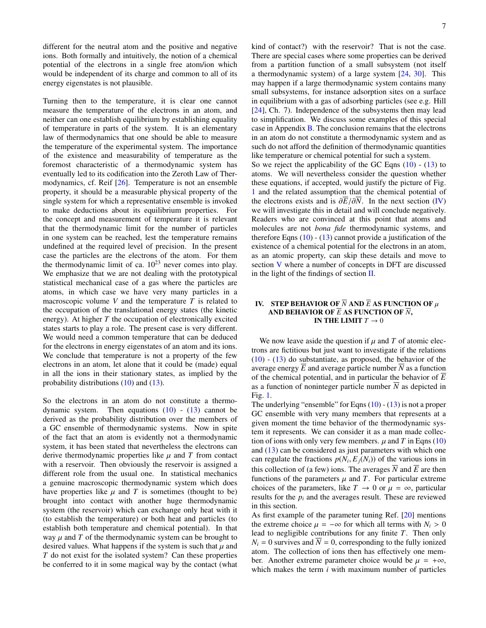different for the neutral atom and the positive and negative ions. Both formally and intuitively, the notion of a chemical potential of the electrons in a single free atom/ion which would be independent of its charge and common to all of its energy eigenstates is not plausible.

Turning then to the temperature, it is clear one cannot measure the temperature of the electrons in an atom, and neither can one establish equilibrium by establishing equality of temperature in parts of the system. It is an elementary law of thermodynamics that one should be able to measure the temperature of the experimental system. The importance of the existence and measurability of temperature as the foremost characteristic of a thermodynamic system has eventually led to its codification into the Zeroth Law of Thermodynamics, cf. Reif [\[26\]](#page-20-23). Temperature is not an ensemble property, it should be a measurable physical property of the single system for which a representative ensemble is invoked to make deductions about its equilibrium properties. For the concept and measurement of temperature it is relevant that the thermodynamic limit for the number of particles in one system can be reached, lest the temperature remains undefined at the required level of precision. In the present case the particles are the electrons of the atom. For them the thermodynamic limit of ca.  $10^{23}$  never comes into play. We emphasize that we are not dealing with the prototypical statistical mechanical case of a gas where the particles are atoms, in which case we have very many particles in a macroscopic volume  $V$  and the temperature  $T$  is related to the occupation of the translational energy states (the kinetic energy). At higher *T* the occupation of electronically excited states starts to play a role. The present case is very different. We would need a common temperature that can be deduced for the electrons in energy eigenstates of an atom and its ions. We conclude that temperature is not a property of the few electrons in an atom, let alone that it could be (made) equal in all the ions in their stationary states, as implied by the probability distributions [\(10\)](#page-4-1) and [\(13\)](#page-4-2).

So the electrons in an atom do not constitute a thermodynamic system. Then equations  $(10)$  -  $(13)$  cannot be derived as the probability distribution over the members of a GC ensemble of thermodynamic systems. Now in spite of the fact that an atom is evidently not a thermodynamic system, it has been stated that nevertheless the electrons can derive thermodynamic properties like  $\mu$  and  $T$  from contact with a reservoir. Then obviously the reservoir is assigned a different role from the usual one. In statistical mechanics a genuine macroscopic thermodynamic system which does have properties like  $\mu$  and  $T$  is sometimes (thought to be) brought into contact with another huge thermodynamic system (the reservoir) which can exchange only heat with it (to establish the temperature) or both heat and particles (to establish both temperature and chemical potential). In that way  $\mu$  and  $T$  of the thermodynamic system can be brought to desired values. What happens if the system is such that  $\mu$  and *T* do not exist for the isolated system? Can these properties be conferred to it in some magical way by the contact (what kind of contact?) with the reservoir? That is not the case. There are special cases where some properties can be derived from a partition function of a small subsystem (not itself a thermodynamic system) of a large system [\[24,](#page-20-24) [30\]](#page-20-25). This may happen if a large thermodynamic system contains many small subsystems, for instance adsorption sites on a surface in equilibrium with a gas of adsorbing particles (see e.g. Hill [\[24\]](#page-20-24), Ch. 7). Independence of the subsystems then may lead to simplification. We discuss some examples of this special case in Appendix [B.](#page-18-0) The conclusion remains that the electrons in an atom do not constitute a thermodynamic system and as such do not afford the definition of thermodynamic quantities like temperature or chemical potential for such a system.

So we reject the applicability of the GC Eqns  $(10)$  -  $(13)$  to atoms. We will nevertheless consider the question whether these equations, if accepted, would justify the picture of Fig. [1](#page-3-0) and the related assumption that the chemical potential of the electrons exists and is  $\partial \overline{E}/\partial \overline{N}$ . In the next section [\(IV\)](#page-6-0) we will investigate this in detail and will conclude negatively. Readers who are convinced at this point that atoms and molecules are not *bona fide* thermodynamic systems, and therefore Eqns  $(10)$  -  $(13)$  cannot provide a justification of the existence of a chemical potential for the electrons in an atom, as an atomic property, can skip these details and move to section [V](#page-9-0) where a number of concepts in DFT are discussed in the light of the findings of section [II.](#page-1-0)

# <span id="page-6-0"></span>IV. STEP BEHAVIOR OF  $\overline{N}$  AND  $\overline{E}$  AS FUNCTION OF  $\mu$ AND BEHAVIOR OF *E* AS FUNCTION OF *N*, IN THE LIMIT  $T \to 0$

We now leave aside the question if  $\mu$  and  $T$  of atomic electrons are fictitious but just want to investigate if the relations  $(10)$  -  $(13)$  do substantiate, as proposed, the behavior of the average energy *E* and average particle number *N* as a function of the chemical potential, and in particular the behavior of *E* as a function of noninteger particle number  $\overline{N}$  as depicted in Fig. [1.](#page-3-0)

The underlying "ensemble" for Eqns  $(10) - (13)$  $(10) - (13)$  $(10) - (13)$  is not a proper GC ensemble with very many members that represents at a given moment the time behavior of the thermodynamic system it represents. We can consider it as a man made collection of ions with only very few members.  $\mu$  and  $T$  in Eqns [\(10\)](#page-4-1) and [\(13\)](#page-4-2) can be considered as just parameters with which one can regulate the fractions  $p(N_i, E_j(N_i))$  of the various ions in<br>this collection of (a fau) ions. The averages  $\overline{N}$  and  $\overline{E}$  are then this collection of (a few) ions. The averages  $\overline{N}$  and  $\overline{E}$  are then functions of the parameters  $\mu$  and  $T$ . For particular extreme choices of the parameters, like  $T \to 0$  or  $\mu = \infty$ , particular results for the  $p_i$  and the averages result. These are reviewed in this section.

As first example of the parameter tuning Ref. [\[20\]](#page-20-18) mentions the extreme choice  $\mu = -\infty$  for which all terms with  $N_i > 0$ lead to negligible contributions for any finite *T*. Then only  $N_i = 0$  survives and  $\overline{N} = 0$ , corresponding to the fully ionized atom. The collection of ions then has effectively one member. Another extreme parameter choice would be  $\mu = +\infty$ , which makes the term *i* with maximum number of particles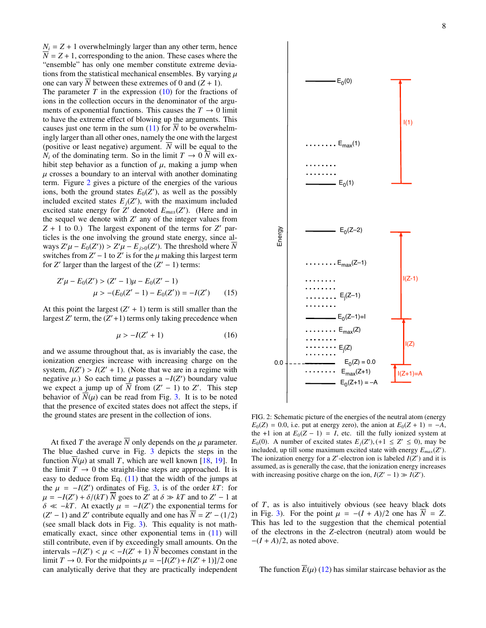$N_i = Z + 1$  overwhelmingly larger than any other term, hence  $\overline{N}$  = *Z* + 1, corresponding to the anion. These cases where the "ensemble" has only one member constitute extreme deviations from the statistical mechanical ensembles. By varying  $\mu$ one can vary *N* between these extremes of 0 and  $(Z + 1)$ .

The parameter  $T$  in the expression  $(10)$  for the fractions of ions in the collection occurs in the denominator of the arguments of exponential functions. This causes the  $T \to 0$  limit to have the extreme effect of blowing up the arguments. This causes just one term in the sum [\(11\)](#page-4-3) for  $\overline{N}$  to be overwhelmingly larger than all other ones, namely the one with the largest (positive or least negative) argument. *N* will be equal to the  $N_i$  of the dominating term. So in the limit  $T \to 0 \ \overline{N}$  will exhibit step behavior as a function of  $\mu$ , making a jump when  $\mu$  crosses a boundary to an interval with another dominating term. Figure [2](#page-7-0) gives a picture of the energies of the various ions, both the ground states  $E_0(Z')$ , as well as the possibly included excited states  $E_j(Z')$ , with the maximum included excited state energy for  $Z'$  denoted  $E_{max}(Z')$ . (Here and in the sequel we denote with  $Z'$  any of the integer values from  $Z + 1$  to 0.) The largest exponent of the terms for  $Z'$  particles is the one involving the ground state energy, since always  $Z'\mu - E_0(Z') > Z'\mu - E_j\simeq_0(Z')$ . The threshold where  $\overline{N}$ <br>switches from  $Z'-1$  to  $Z'$  is for the *u* making this largest term switches from  $Z' - 1$  to  $Z'$  is for the  $\mu$  making this largest term<br>for  $Z'$  larger than the largest of the  $(Z' - 1)$  terms: for *Z'* larger than the largest of the  $(Z' - 1)$  terms:

$$
Z'\mu - E_0(Z') > (Z' - 1)\mu - E_0(Z' - 1)
$$
\n
$$
\mu > -(E_0(Z' - 1) - E_0(Z')) = -I(Z') \tag{15}
$$

At this point the largest  $(Z' + 1)$  term is still smaller than the largest  $\overline{Z}'$  term, the  $(\overline{Z'}+1)$  terms only taking precedence when

$$
\mu > -I(Z' + 1) \tag{16}
$$

and we assume throughout that, as is invariably the case, the ionization energies increase with increasing charge on the system,  $I(Z') > I(Z' + 1)$ . (Note that we are in a regime with negative  $\mu$ ). So each time  $\mu$  passes  $a - I(Z')$  boundary value negative  $\mu$ .) So each time  $\mu$  passes a  $-I(Z')$  boundary value<br>we expect a jump up of  $\overline{N}$  from  $(Z'-1)$  to  $Z'$ . This step we expect a jump up of  $\overline{N}$  from  $(Z' - 1)$  to  $Z'$ . This step behavior of  $\overline{N}(\mu)$  can be read from Fig. [3.](#page-8-0) It is to be noted that the presence of excited states does not affect the steps, if the ground states are present in the collection of ions.

At fixed *T* the average  $\overline{N}$  only depends on the  $\mu$  parameter. The blue dashed curve in Fig. [3](#page-8-0) depicts the steps in the function  $N(\mu)$  at small *T*, which are well known [\[18,](#page-20-16) [19\]](#page-20-17). In the limit  $T \to 0$  the straight-line steps are approached. It is easy to deduce from Eq. [\(11\)](#page-4-3) that the width of the jumps at the  $\mu = -I(Z')$  ordinates of Fig. [3,](#page-8-0) is of the order *kT*: for  $u = -I(Z') + \delta/(kT)$  goes to  $Z'$  at  $\delta \gg kT$  and to  $Z' = 1$  at  $\mu = -I(Z') + \delta/(kT) \overline{N}$  goes to  $\overline{Z}'$  at  $\delta \gg kT$  and to  $Z' - 1$  at  $\delta \ll -kT$ . At exactly  $\mu = -I(Z')$  the exponential terms for  $\delta \ll -kT$ . At exactly  $\mu = -I(Z')$  the exponential terms for  $(Z'-1)$  and  $Z'$  contribute equally and one has  $\overline{N} - Z' - (1/2)$ ( $Z' - 1$ ) and  $Z'$  contribute equally and one has  $\overline{N} = Z' - (1/2)$ )<br>(see small black dots in Fig. 3). This equality is not math-(see small black dots in Fig. [3\)](#page-8-0). This equality is not mathematically exact, since other exponential tems in  $(11)$  will still contribute, even if by exceedingly small amounts. On the intervals  $-I(Z') < \mu < -I(Z'+1) \overline{N}$  becomes constant in the limit  $T \rightarrow 0$ . For the midnoints  $\mu = -[I(Z')+I(Z'+1)]/2$  one limit *T* → 0. For the midpoints  $\mu = -[I(Z') + I(Z' + 1)]/2$  one<br>can analytically derive that they are practically independent can analytically derive that they are practically independent



<span id="page-7-0"></span>FIG. 2: Schematic picture of the energies of the neutral atom (energy  $E_0(Z) = 0.0$ , i.e. put at energy zero), the anion at  $E_0(Z + 1) = -A$ , the +1 ion at  $E_0(Z - 1) = I$ , etc. till the fully ionized system at  $E_0(0)$ . A number of excited states  $E_j(Z')$ ,  $(+1 \le Z' \le 0)$ , may be included un till some maximum excited state with energy  $F$  (*Z'*) included, up till some maximum excited state with energy  $E_{max}(Z')$ . The ionization energy for a  $Z'$ -electron ion is labeled  $I(Z')$  and it is assumed, as is generally the case, that the ionization energy increases with increasing positive charge on the ion,  $I(Z' - 1) \gg I(Z')$ .

of *T*, as is also intuitively obvious (see heavy black dots in Fig. [3\)](#page-8-0). For the point  $\mu = -(I + A)/2$  one has  $N = Z$ . This has led to the suggestion that the chemical potential of the electrons in the *Z*-electron (neutral) atom would be  $-(I + A)/2$ , as noted above.

The function  $\overline{E}(\mu)$  [\(12\)](#page-4-4) has similar staircase behavior as the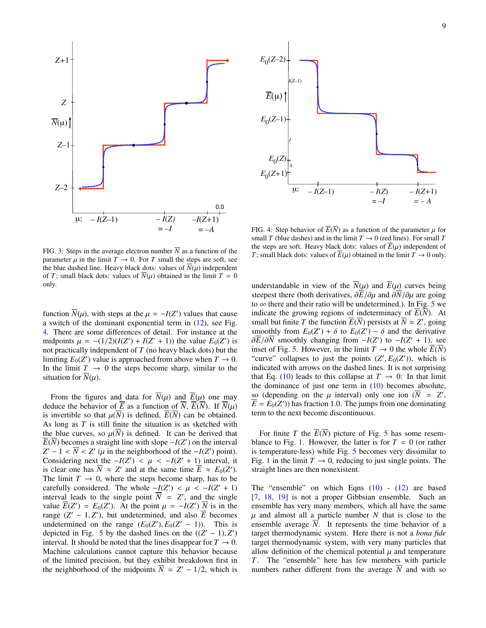



<span id="page-8-0"></span>FIG. 3: Steps in the average electron number  $\overline{N}$  as a function of the parameter  $\mu$  in the limit  $T \to 0$ . For *T* small the steps are soft, see the blue dashed line. Heavy black dots: values of  $\overline{N}(\mu)$  independent of *T*; small black dots: values of  $\overline{N}(\mu)$  obtained in the limit  $T = 0$ only.

function  $\overline{N}(u)$ , with steps at the  $\mu = -I(Z')$  values that cause<br>a switch of the dominant exponential term in (12), see Fig. a switch of the dominant exponential term in [\(12\)](#page-4-4), see Fig. [4.](#page-8-1) There are some differences of detail. For instance at the midpoints  $\mu = -(1/2)(I(Z') + I(Z' + 1))$  the value  $E_0(Z')$  is<br>not practically independent of T (no heavy black dots) but the not practically independent of *T* (no heavy black dots) but the limiting  $E_0(Z')$  value is approached from above when  $T \to 0$ . In the limit  $T \rightarrow 0$  the steps become sharp, similar to the situation for  $N(\mu)$ .

From the figures and data for  $\overline{N}(\mu)$  and  $\overline{E}(\mu)$  one may deduce the behavior of  $\overline{E}$  as a function of  $\overline{N}$ ,  $\overline{E}(\overline{N})$ . If  $\overline{N}(\mu)$ is invertible so that  $\mu(\overline{N})$  is defined,  $\overline{E}(\overline{N})$  can be obtained. As long as *T* is still finite the situation is as sketched with the blue curves, so  $\mu(N)$  is defined. It can be derived that  $\overline{E}(\overline{N})$  becomes a straight line with slope  $-I(Z')$  on the interval  $Z' - 1 < \overline{N} < Z'$  ( $\mu$  in the neighborhood of the  $-I(Z')$  point).<br>Considering next the  $-I(Z') < \mu < -I(Z'+1)$  interval it Considering next the  $-I(Z') < \mu < -I(Z' + 1)$  interval, it is clear one has  $\overline{N} \approx Z'$  and at the same time  $\overline{F} \approx F_0(Z')$ is clear one has  $\overline{N} \approx Z'$  and at the same time  $\overline{E} \approx E_0(Z')$ . The limit  $T \to 0$ , where the steps become sharp, has to be carefully considered. The whole  $-I(Z') < \mu < -I(Z' + 1)$ <br>interval leads to the single point  $\overline{N} - Z'$  and the single interval leads to the single point  $\overline{N} = Z'$ , and the single value  $\overline{E}(Z') = E_0(Z')$ . At the point  $\mu = -I(Z') \overline{N}$  is in the range  $(Z' - 1, Z')$  but undetermined and also  $\overline{F}$  becomes range  $(Z' - 1, Z')$ , but undetermined, and also  $\overline{E}$  becomes<br>undetermined on the range  $(F_0(Z') \ F_0(Z' - 1))$ . This is undetermined on the range  $(E_0(Z'), E_0(Z'-1))$ . This is denicted in Fig. 5 by the dashed lines on the  $((Z'-1)Z')$ depicted in Fig. [5](#page-9-2) by the dashed lines on the  $((Z' - 1), Z')$ <br>interval It should be noted that the lines disappear for  $T \rightarrow 0$ interval. It should be noted that the lines disappear for  $T \to 0$ . Machine calculations cannot capture this behavior because of the limited precision, but they exhibit breakdown first in the neighborhood of the midpoints  $\overline{N} = Z' - 1/2$ , which is

<span id="page-8-1"></span>FIG. 4: Step behavior of  $\overline{E(N)}$  as a function of the parameter  $\mu$  for small *T* (blue dashes) and in the limit  $T \rightarrow 0$  (red lines). For small *T* the steps are soft. Heavy black dots: values of  $E(\mu)$  independent of *T*; small black dots: values of  $E(\mu)$  obtained in the limit  $T \to 0$  only.

understandable in view of the  $N(\mu)$  and  $E(\mu)$  curves being steepest there (both derivatives, ∂*E*/∂µ and ∂*N*/∂µ are going to  $\infty$  there and their ratio will be undetermined.). In Fig. [5](#page-9-2) we indicate the growing regions of indeterminacy of *E*(*N*). At small but finite *T* the function  $\overline{E}(\overline{N})$  persists at  $\overline{N} \approx Z'$ , going smoothly from  $E_0(Z') + \delta$  to  $E_0(Z') - \delta$  and the derivative<br>  $\partial \overline{F}/\partial \overline{N}$  smoothly changing from  $-I(Z')$  to  $-I(Z'+1)$  see  $\partial \overline{E}/\partial \overline{N}$  smoothly changing from  $-I(Z')$  to  $-I(Z'+1)$ , see inset of Fig. [5.](#page-9-2) However, in the limit  $T \to 0$  the whole  $E(N)$ "curve" collapses to just the points  $(Z', E_0(Z'))$ , which is indicated with arrows on the dashed lines. It is not surprising that Eq. [\(10\)](#page-4-1) leads to this collapse at  $T \to 0$ : In that limit the dominance of just one term in  $(10)$  becomes absolute, so (depending on the  $\mu$  interval) only one ion ( $\overline{N} = Z'$ ,<br> $\overline{F} - F_0(Z')$ ) has fraction 1.0. The jumps from one dominating  $\overline{E} = E_0(Z')$ ) has fraction 1.0. The jumps from one dominating term to the next become discontinuous.

For finite *T* the  $E(N)$  picture of Fig. [5](#page-9-2) has some resem-blance to Fig. [1.](#page-3-0) However, the latter is for  $T = 0$  (or rather is temperature-less) while Fig. [5](#page-9-2) becomes very dissimilar to Fig. [1](#page-3-0) in the limit  $T \to 0$ , reducing to just single points. The straight lines are then nonexistent.

The "ensemble" on which Eqns  $(10)$  -  $(12)$  are based [\[7,](#page-20-6) [18,](#page-20-16) [19\]](#page-20-17) is not a proper Gibbsian ensemble. Such an ensemble has very many members, which all have the same  $\mu$  and almost all a particle number *N* that is close to the ensemble average  $\overline{N}$ . It represents the time behavior of a target thermodynamic system. Here there is not a *bona fide* target thermodynamic system, with very many particles that allow definition of the chemical potential  $\mu$  and temperature *T*. The "ensemble" here has few members with particle numbers rather different from the average  $\overline{N}$  and with so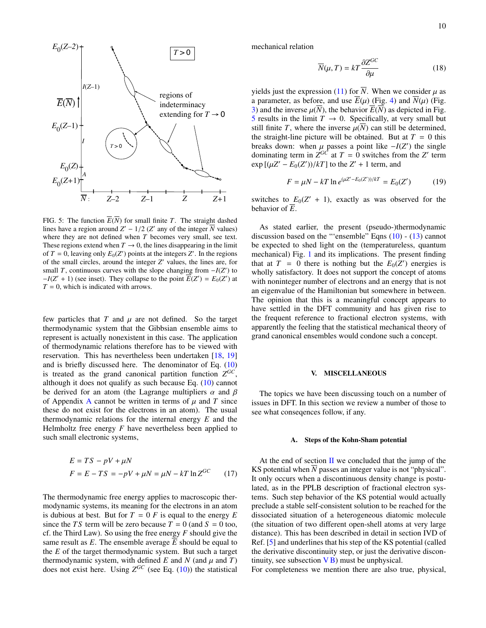

<span id="page-9-2"></span>FIG. 5: The function  $\overline{E}(\overline{N})$  for small finite *T*. The straight dashed lines have a region around  $Z' - 1/2$  ( $Z'$  any of the integer  $\overline{N}$  values) where they are not defined when *T* becomes very small, see text where they are not defined when *T* becomes very small, see text. These regions extend when  $T \to 0$ , the lines disappearing in the limit of  $T = 0$ , leaving only  $E_0(Z')$  points at the integers  $Z'$ . In the regions of the small circles, around the integer *Z'* values, the lines are, for small *T*, continuous curves with the slope changing from  $-I(Z')$  to  $-I(Z' + 1)$  (see inset). They collapse to the point  $\overline{E}(Z') = E_0(Z')$  at  $T = 0$ , which is indicated with arrows.

few particles that  $T$  and  $\mu$  are not defined. So the target thermodynamic system that the Gibbsian ensemble aims to represent is actually nonexistent in this case. The application of thermodynamic relations therefore has to be viewed with reservation. This has nevertheless been undertaken [\[18,](#page-20-16) [19\]](#page-20-17) and is briefly discussed here. The denominator of Eq. [\(10\)](#page-4-1) is treated as the grand canonical partition function  $Z^{GC}$ , although it does not qualify as such because Eq. [\(10\)](#page-4-1) cannot be derived for an atom (the Lagrange multipliers  $\alpha$  and  $\beta$ of [A](#page-14-0)ppendix A cannot be written in terms of  $\mu$  and  $T$  since these do not exist for the electrons in an atom). The usual thermodynamic relations for the internal energy *E* and the Helmholtz free energy *F* have nevertheless been applied to such small electronic systems,

$$
E = TS - pV + \mu N
$$
  

$$
F = E - TS = -pV + \mu N = \mu N - kT \ln Z^{GC}
$$
 (17)

The thermodynamic free energy applies to macroscopic thermodynamic systems, its meaning for the electrons in an atom is dubious at best. But for  $T = 0$  *F* is equal to the energy *E* since the *TS* term will be zero because  $T = 0$  (and  $S = 0$  too, cf. the Third Law). So using the free energy *F* should give the same result as *E*. The ensemble average  $\overline{E}$  should be equal to the *E* of the target thermodynamic system. But such a target thermodynamic system, with defined *E* and *N* (and  $\mu$  and *T*) does not exist here. Using  $Z^{GC}$  (see Eq. [\(10\)](#page-4-1)) the statistical

mechanical relation

$$
\overline{N}(\mu, T) = kT \frac{\partial Z^{GC}}{\partial \mu}
$$
 (18)

yields just the expression [\(11\)](#page-4-3) for  $\overline{N}$ . When we consider  $\mu$  as a parameter, as before, and use  $\overline{E}(\mu)$  (Fig. [4\)](#page-8-1) and  $\overline{N}(\mu)$  (Fig. [3\)](#page-8-0) and the inverse  $\mu(\overline{N})$ , the behavior  $\overline{E}(\overline{N})$  as depicted in Fig. [5](#page-9-2) results in the limit  $T \to 0$ . Specifically, at very small but still finite *T*, where the inverse  $\mu(\overline{N})$  can still be determined, the straight-line picture will be obtained. But at  $T = 0$  this breaks down: when  $\mu$  passes a point like  $-I(Z')$  the single<br>dominating term in  $Z^{GC}$  at  $T = 0$  switches from the  $Z'$  term dominating term in  $Z^{GC}$  at  $T = 0$  switches from the  $Z'$  term  $\exp\left[\frac{\mu Z' - E_0(Z')}{kT}\right]$  to the  $Z' + 1$  term, and

$$
F = \mu N - kT \ln e^{(\mu Z' - E_0(Z'))/kT} = E_0(Z')
$$
 (19)

switches to  $E_0(Z' + 1)$ , exactly as was observed for the behavior of  $\overline{E}$ .

As stated earlier, the present (pseudo-)thermodynamic discussion based on the "'ensemble" Eqns  $(10)$  -  $(13)$  cannot be expected to shed light on the (temperatureless, quantum mechanical) Fig. [1](#page-3-0) and its implications. The present finding that at  $T = 0$  there is nothing but the  $E_0(Z')$  energies is wholly satisfactory. It does not support the concept of atoms with noninteger number of electrons and an energy that is not an eigenvalue of the Hamiltonian but somewhere in between. The opinion that this is a meaningful concept appears to have settled in the DFT community and has given rise to the frequent reference to fractional electron systems, with apparently the feeling that the statistical mechanical theory of grand canonical ensembles would condone such a concept.

#### <span id="page-9-0"></span>V. MISCELLANEOUS

The topics we have been discussing touch on a number of issues in DFT. In this section we review a number of those to see what conseqences follow, if any.

#### <span id="page-9-1"></span>A. Steps of the Kohn-Sham potential

At the end of section  $\mathbf I$  we concluded that the jump of the KS potential when  $\overline{N}$  passes an integer value is not "physical". It only occurs when a discontinuous density change is postulated, as in the PPLB description of fractional electron systems. Such step behavior of the KS potential would actually preclude a stable self-consistent solution to be reached for the dissociated situation of a heterogeneous diatomic molecule (the situation of two different open-shell atoms at very large distance). This has been described in detail in section IVD of Ref. [\[5\]](#page-20-4) and underlines that his step of the KS potential (called the derivative discontinuity step, or just the derivative discontinuity, see subsection  $\overline{VB}$ ) must be unphysical.

For completeness we mention there are also true, physical,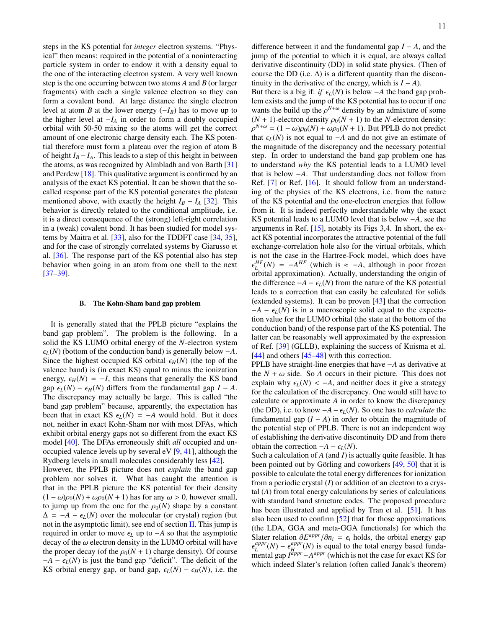steps in the KS potential for *integer* electron systems. "Physical" then means: required in the potential of a noninteracting particle system in order to endow it with a density equal to the one of the interacting electron system. A very well known step is the one occurring between two atoms *A* and *B* (or larger fragments) with each a single valence electron so they can form a covalent bond. At large distance the single electron level at atom *B* at the lower energy  $(-I_B)$  has to move up to the higher level at  $-I_A$  in order to form a doubly occupied orbital with 50-50 mixing so the atoms will get the correct amount of one electronic charge density each. The KS potential therefore must form a plateau over the region of atom B of height  $I_B - I_A$ . This leads to a step of this height in between the atoms, as was recognized by Almbladh and von Barth [\[31\]](#page-20-26) and Perdew [\[18\]](#page-20-16). This qualitative argument is confirmed by an analysis of the exact KS potential. It can be shown that the socalled response part of the KS potential generates the plateau mentioned above, with exactly the height  $I_B - I_A$  [\[32\]](#page-20-27). This behavior is directly related to the conditional amplitude, i.e. it is a direct consequence of the (strong) left-right correlation in a (weak) covalent bond. It has been studied for model systems by Maitra et al. [\[33\]](#page-20-28), also for the TDDFT case [\[34,](#page-20-29) [35\]](#page-20-30), and for the case of strongly correlated systems by Giarusso et al. [\[36\]](#page-20-31). The response part of the KS potential also has step behavior when going in an atom from one shell to the next [\[37](#page-20-32)[–39\]](#page-20-33).

#### <span id="page-10-0"></span>B. The Kohn-Sham band gap problem

It is generally stated that the PPLB picture "explains the band gap problem". The problem is the following. In a solid the KS LUMO orbital energy of the *N*-electron system  $\epsilon_L(N)$  (bottom of the conduction band) is generally below  $-A$ . Since the highest occupied KS orbital  $\epsilon_H(N)$  (the top of the valence band) is (in exact KS) equal to minus the ionization energy,  $\epsilon_H(N) = -I$ , this means that generally the KS band gap  $\epsilon$ <sub>*L*</sub>(*N*) −  $\epsilon$ <sub>*H*</sub>(*N*) differs from the fundamental gap *I* − *A*. The discrepancy may actually be large. This is called "the band gap problem" because, apparently, the expectation has been that in exact KS  $\epsilon_L(N) = -A$  would hold. But it does not, neither in exact Kohn-Sham nor with most DFAs, which exhibit orbital energy gaps not so different from the exact KS model [\[40\]](#page-20-34). The DFAs erroneously shift *all* occupied and unoccupied valence levels up by several eV  $[9, 41]$  $[9, 41]$  $[9, 41]$ , although the Rydberg levels in small molecules considerably less [\[42\]](#page-20-36). However, the PPLB picture does not *explain* the band gap problem nor solves it. What has caught the attention is that in the PPLB picture the KS potential for their density  $(1 - \omega)\rho_0(N) + \omega\rho_0(N + 1)$  has for any  $\omega > 0$ , however small, to jump up from the one for the  $\rho_0(N)$  shape by a constant  $\Delta = -A - \epsilon_L(N)$  over the molecular (or crystal) region (but not in the asymptotic limit), see end of section  $II$ . This jump is required in order to move  $\epsilon$ <sub>*L*</sub> up to −*A* so that the asymptotic decay of the  $\omega$  electron density in the LUMO orbital will have the proper decay (of the  $\rho_0(N + 1)$  charge density). Of course  $-A - \epsilon_L(N)$  is just the band gap "deficit". The deficit of the

KS orbital energy gap, or band gap,  $\epsilon_L(N) - \epsilon_H(N)$ , i.e. the

difference between it and the fundamental gap *I* − *A*, and the jump of the potential to which it is equal, are always called derivative discontinuity (DD) in solid state physics. (Then of course the DD (i.e.  $\Delta$ ) is a different quantity than the discontinuity in the derivative of the energy, which is  $I - A$ ).

But there is a big if: *if*  $\epsilon_L(N)$  is below −*A* the band gap problem exists and the jump of the KS potential has to occur if one wants the build up the  $\rho^{N+\omega}$  density by an admixture of some  $(N + 1)$ -electron density  $(N + 1)$ -electron density  $\rho_0(N + 1)$  to the *N*-electron density: that  $\epsilon_L(N)$  is not equal to −*A* and do not give an estimate of the magnitude of the discrepancy and the necessary potential  $\rho^{N+\omega} = (1-\omega)\rho_0(N) + \omega \rho_0(N+1)$ . But PPLB do not predict the magnitude of the discrepancy and the necessary potential step. In order to understand the band gap problem one has to understand *why* the KS potential leads to a LUMO level that is below −*A*. That understanding does not follow from Ref. [\[7\]](#page-20-6) or Ref. [\[16\]](#page-20-14). It should follow from an understanding of the physics of the KS electrons, i.e. from the nature of the KS potential and the one-electron energies that follow from it. It is indeed perfectly understandable why the exact KS potential leads to a LUMO level that is below −*A*, see the arguments in Ref. [\[15\]](#page-20-13), notably its Figs 3,4. In short, the exact KS potential incorporates the attractive potential of the full exchange-correlation hole also for the virtual orbitals, which is not the case in the Hartree-Fock model, which does have  $\sum_{L}$  orbital approximation). Actually, understanding the origin of  $L^{HF}(N) = -A^{HF}$  (which is  $\approx -A$ , although in poor frozen the difference  $-A$  −  $\epsilon$ <sub>*L*</sub>(*N*) from the nature of the KS potential leads to a correction that can easily be calculated for solids (extended systems). It can be proven [\[43\]](#page-21-0) that the correction  $-A - \epsilon_L(N)$  is in a macroscopic solid equal to the expectation value for the LUMO orbital (the state at the bottom of the conduction band) of the response part of the KS potential. The latter can be reasonably well approximated by the expression of Ref. [\[39\]](#page-20-33) (GLLB), explaining the success of Kuisma et al. [\[44\]](#page-21-1) and others [\[45](#page-21-2)[–48\]](#page-21-3) with this correction.

PPLB have straight-line energies that have −*A* as derivative at the  $N + \omega$  side. So A occurs in their picture. This does not explain why  $\epsilon_l(N) < -A$ , and neither does it give a strategy for the calculation of the discrepancy. One would still have to calculate or approximate *A* in order to know the discrepancy (the DD), i.e. to know  $-A - \epsilon_L(N)$ . So one has to *calculate* the fundamental gap  $(I - A)$  in order to obtain the magnitude of the potential step of PPLB. There is not an independent way of establishing the derivative discontinuity DD and from there obtain the correction  $-A - \epsilon_L(N)$ .

Such a calculation of *A* (and *I*) is actually quite feasible. It has been pointed out by Görling and coworkers  $[49, 50]$  $[49, 50]$  $[49, 50]$  $[49, 50]$  that it is possible to calculate the total energy differences for ionization from a periodic crystal (*I*) or addition of an electron to a crystal (*A*) from total energy calculations by series of calculations with standard band structure codes. The proposed procedure has been illustrated and applied by Tran et al. [\[51\]](#page-21-6). It has also been used to confirm [\[52\]](#page-21-7) that for those approximations (the LDA, GGA and meta-GGA functionals) for which the Slater relation  $\partial E^{appr}/\partial n_i = \epsilon_i$  holds, the orbital energy gap  $\epsilon^{appr}(N) = \epsilon^{appr}(N)$  is equal to the total energy based funda-Slater relation  $\partial E^{appr}/\partial n_i = \epsilon_i$  holds, the orbital energy gap  $\frac{1}{n}$ *appr*  $L^{appr}(N) - \epsilon_H^{appr}$ <br>nental gan *J<sup>appr</sup>*  $_{H}^{appr}(N)$  is equal to the total energy based fundamental gap  $I<sup>appr</sup>−A<sup>appr</sup>$  (which is not the case for exact KS for which indeed Slater's relation (often called Janak's theorem)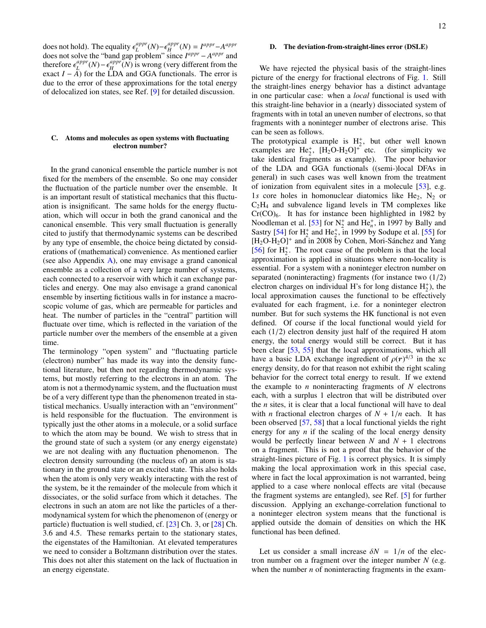does not hold). The equality  $\epsilon_L^{appr}$ <br>does not solve the "band gap prob <sup>*appr</sup>*(*N*)− $\epsilon_H^{appr}$ <br>problem'' sinc</sup>  $H^{appr}(N) = I^{appr} - A^{appr}$ does not solve the "band gap problem" since  $I^{appr} - A^{appr}$  and therefore  $\epsilon_L^{appr}$ <br>exact  $I = A$ ) for *<sup>appr</sup>*(*N*)− $\epsilon_H^{appr}$ <br>
(*A*) for the LD4  $H_H^{appr}(N)$  is wrong (very different from the exact *I* − *A*) for the LDA and GGA functionals. The error is due to the error of these approximations for the total energy of delocalized ion states, see Ref. [\[9\]](#page-20-8) for detailed discussion.

# <span id="page-11-0"></span>C. Atoms and molecules as open systems with fluctuating electron number?

In the grand canonical ensemble the particle number is not fixed for the members of the ensemble. So one may consider the fluctuation of the particle number over the ensemble. It is an important result of statistical mechanics that this fluctuation is insignificant. The same holds for the energy fluctuation, which will occur in both the grand canonical and the canonical ensemble. This very small fluctuation is generally cited to justify that thermodynamic systems can be described by any type of ensemble, the choice being dictated by considerations of (mathematical) convenience. As mentioned earlier (see also Appendix [A\)](#page-14-0), one may envisage a grand canonical ensemble as a collection of a very large number of systems, each connected to a reservoir with which it can exchange particles and energy. One may also envisage a grand canonical ensemble by inserting fictitious walls in for instance a macroscopic volume of gas, which are permeable for particles and heat. The number of particles in the "central" partition will fluctuate over time, which is reflected in the variation of the particle number over the members of the ensemble at a given time.

The terminology "open system" and "fluctuating particle (electron) number" has made its way into the density functional literature, but then not regarding thermodynamic systems, but mostly referring to the electrons in an atom. The atom is not a thermodynamic system, and the fluctuation must be of a very different type than the phenomenon treated in statistical mechanics. Usually interaction with an "environment" is held responsible for the fluctuation. The environment is typically just the other atoms in a molecule, or a solid surface to which the atom may be bound. We wish to stress that in the ground state of such a system (or any energy eigenstate) we are not dealing with any fluctuation phenomenon. The electron density surrounding (the nucleus of) an atom is stationary in the ground state or an excited state. This also holds when the atom is only very weakly interacting with the rest of the system, be it the remainder of the molecule from which it dissociates, or the solid surface from which it detaches. The electrons in such an atom are not like the particles of a thermodynamical system for which the phenomenon of (energy or particle) fluctuation is well studied, cf. [\[23\]](#page-20-21) Ch. 3, or [\[28\]](#page-20-20) Ch. 3.6 and 4.5. These remarks pertain to the stationary states, the eigenstates of the Hamiltonian. At elevated temperatures we need to consider a Boltzmann distribution over the states. This does not alter this statement on the lack of fluctuation in an energy eigenstate.

#### <span id="page-11-1"></span>D. The deviation-from-straight-lines error (DSLE)

We have rejected the physical basis of the straight-lines picture of the energy for fractional electrons of Fig. [1.](#page-3-0) Still the straight-lines energy behavior has a distinct advantage in one particular case: when a *local* functional is used with this straight-line behavior in a (nearly) dissociated system of fragments with in total an uneven number of electrons, so that fragments with a noninteger number of electrons arise. This can be seen as follows.

The prototypical example is  $H_2^+$ , but other well known examples are  $He_2^+$ ,  $[H_2O-H_2O]^+$  etc. (for simplicity we take identical fragments as example). The poor behavior of the LDA and GGA functionals ((semi-)local DFAs in general) in such cases was well known from the treatment of ionization from equivalent sites in a molecule [\[53\]](#page-21-8), e.g. 1*s* core holes in homonuclear diatomics like He<sub>2</sub>,  $N_2$  or  $C_2H_4$  and subvalence ligand levels in TM complexes like  $Cr(CO)<sub>6</sub>$ . It has for instance been highlighted in 1982 by Noodleman et al. [\[53\]](#page-21-8) for  $N_2^+$  and He<sub>n</sub><sup>+</sup>, in 1997 by Bally and Sastry [\[54\]](#page-21-9) for  $H_2^+$  and  $He_2^+$ , in 1999 by Sodupe et al. [\[55\]](#page-21-10) for  $[H_2O-H_2O]^+$  and in 2008 by Cohen, Mori-Sánchez and Yang [\[56\]](#page-21-11) for  $H_2^+$ . The root cause of the problem is that the local approximation is applied in situations where non-locality is essential. For a system with a noninteger electron number on separated (noninteracting) fragments (for instance two  $(1/2)$ ) electron charges on individual H's for long distance  $H_2^+$ ), the local approximation causes the functional to be effectively evaluated for each fragment, i.e. for a noninteger electron number. But for such systems the HK functional is not even defined. Of course if the local functional would yield for each (1/2) electron density just half of the required H atom energy, the total energy would still be correct. But it has been clear [\[53,](#page-21-8) [55\]](#page-21-10) that the local approximations, which all have a basic LDA exchange ingredient of  $\rho(r)^{4/3}$  in the xc<br>energy density do for that reason not exhibit the right scaling energy density, do for that reason not exhibit the right scaling behavior for the correct total energy to result. If we extend the example to *n* noninteracting fragments of *N* electrons each, with a surplus 1 electron that will be distributed over the *n* sites, it is clear that a local functional will have to deal with *n* fractional electron charges of  $N + 1/n$  each. It has been observed [\[57,](#page-21-12) [58\]](#page-21-13) that a local functional yields the right energy for any *n* if the scaling of the local energy density would be perfectly linear between  $N$  and  $N + 1$  electrons on a fragment. This is not a proof that the behavior of the straight-lines picture of Fig. [1](#page-3-0) is correct physics. It is simply making the local approximation work in this special case, where in fact the local approximation is not warranted, being applied to a case where nonlocal effects are vital (because the fragment systems are entangled), see Ref. [\[5\]](#page-20-4) for further discussion. Applying an exchange-correlation functional to a noninteger electron system means that the functional is applied outside the domain of densities on which the HK functional has been defined.

Let us consider a small increase  $\delta N = 1/n$  of the electron number on a fragment over the integer number *N* (e.g. when the number *n* of noninteracting fragments in the exam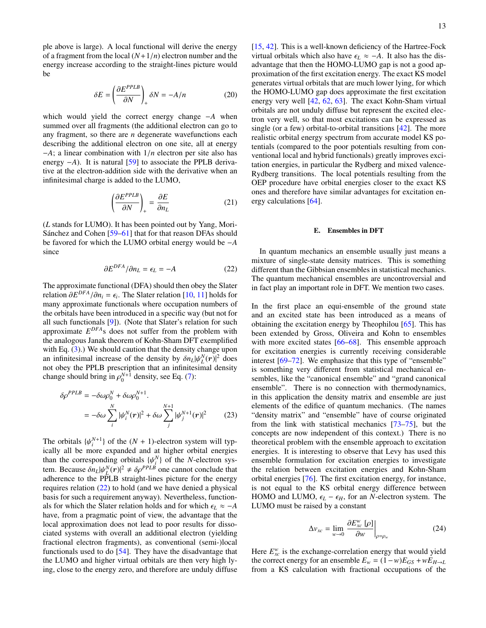ple above is large). A local functional will derive the energy of a fragment from the local  $(N+1/n)$  electron number and the energy increase according to the straight-lines picture would be

$$
\delta E = \left(\frac{\partial E^{PPLB}}{\partial N}\right)_+ \delta N = -A/n \tag{20}
$$

which would yield the correct energy change −*A* when summed over all fragments (the additional electron can go to any fragment, so there are *n* degenerate wavefunctions each describing the additional electron on one site, all at energy <sup>−</sup>*A*; a linear combination with <sup>1</sup>/*<sup>n</sup>* electron per site also has energy −*A*). It is natural [\[59\]](#page-21-14) to associate the PPLB derivative at the electron-addition side with the derivative when an infinitesimal charge is added to the LUMO,

$$
\left(\frac{\partial E^{PPLB}}{\partial N}\right)_+ = \frac{\partial E}{\partial n_L} \tag{21}
$$

(*L* stands for LUMO). It has been pointed out by Yang, Mori-Sánchez and Cohen [[59](#page-21-14)[–61\]](#page-21-15) that for that reason DFAs should be favored for which the LUMO orbital energy would be −*A* since

<span id="page-12-1"></span>
$$
\partial E^{DFA}/\partial n_L = \epsilon_L = -A \tag{22}
$$

The approximate functional (DFA) should then obey the Slater relation  $\frac{\partial E^{DFA}}{\partial n_i} = \epsilon_i$ . The Slater relation [\[10,](#page-20-9) [11\]](#page-20-37) holds for many approximate functionals where occupation numbers of many approximate functionals where occupation numbers of the orbitals have been introduced in a specific way (but not for all such functionals [\[9\]](#page-20-8)). (Note that Slater's relation for such approximate *E DFA*s does not suffer from the problem with the analogous Janak theorem of Kohn-Sham DFT exemplified with Eq.  $(3)$ .) We should caution that the density change upon an infinitesimal increase of the density by  $\delta n_L |\psi_L^N(\mathbf{r})|^2$  does not obey the PPI B prescription that an infinitesimal density an *Infinitesimal increase* of the density by  $m_L|\phi_L(r)|$  does<br>not obey the PPLB prescription that an infinitesimal density change should bring in  $\rho_0^{N+1}$  density, see Eq. [\(7\)](#page-2-0):

$$
\delta \rho^{PPLB} = -\delta \omega \rho_0^N + \delta \omega \rho_0^{N+1}.
$$
  
= 
$$
-\delta \omega \sum_i^N |\psi_i^N(\mathbf{r})|^2 + \delta \omega \sum_j^{N+1} |\psi_j^{N+1}(\mathbf{r})|^2
$$
 (23)

The orbitals  $\{\psi_i^{N+1}\}$  of the  $(N + 1)$ -electron system will typ-<br>ically all be more expanded and at higher orbital energies ically all be more expanded and at higher orbital energies than the corresponding orbitals  $\{\psi_i^N\}$  of the *N*-electron sys-<br>tem. Because  $\delta n_e |\psi_i^N(m)|^2 + \delta \delta^{PPLB}$  one cannot conclude that tem. Because  $\delta n_L |\psi_N^N(r)|^2 \neq \delta \rho^{PPLB}$  one cannot conclude that adherence to the PPI B straight-lines picture for the energy adherence to the PPLB straight-lines picture for the energy requires relation [\(22\)](#page-12-1) to hold (and we have denied a physical basis for such a requirement anyway). Nevertheless, functionals for which the Slater relation holds and for which  $\epsilon_L \approx -A$ have, from a pragmatic point of view, the advantage that the local approximation does not lead to poor results for dissociated systems with overall an additional electron (yielding fractional electron fragments), as conventional (semi-)local functionals used to do [\[54\]](#page-21-9). They have the disadvantage that the LUMO and higher virtual orbitals are then very high lying, close to the energy zero, and therefore are unduly diffuse

[\[15,](#page-20-13) [42\]](#page-20-36). This is a well-known deficiency of the Hartree-Fock virtual orbitals which also have  $\epsilon_L \approx -A$ . It also has the disadvantage that then the HOMO-LUMO gap is not a good approximation of the first excitation energy. The exact KS model generates virtual orbitals that are much lower lying, for which the HOMO-LUMO gap does approximate the first excitation energy very well [\[42,](#page-20-36) [62,](#page-21-16) [63\]](#page-21-17). The exact Kohn-Sham virtual orbitals are not unduly diffuse but represent the excited electron very well, so that most excitations can be expressed as single (or a few) orbital-to-orbital transitions [\[42\]](#page-20-36). The more realistic orbital energy spectrum from accurate model KS potentials (compared to the poor potentials resulting from conventional local and hybrid functionals) greatly improves excitation energies, in particular the Rydberg and mixed valence-Rydberg transitions. The local potentials resulting from the OEP procedure have orbital energies closer to the exact KS ones and therefore have similar advantages for excitation energy calculations [\[64\]](#page-21-18).

# <span id="page-12-0"></span>E. Ensembles in DFT

In quantum mechanics an ensemble usually just means a mixture of single-state density matrices. This is something different than the Gibbsian ensembles in statistical mechanics. The quantum mechanical ensembles are uncontroversial and in fact play an important role in DFT. We mention two cases.

In the first place an equi-ensemble of the ground state and an excited state has been introduced as a means of obtaining the excitation energy by Theophilou [\[65\]](#page-21-19). This has been extended by Gross, Oliveira and Kohn to ensembles with more excited states [\[66–](#page-21-20)[68\]](#page-21-21). This ensemble approach for excitation energies is currently receiving considerable interest [\[69–](#page-21-22)[72\]](#page-21-23). We emphasize that this type of "ensemble" is something very different from statistical mechanical ensembles, like the "canonical ensemble" and "grand canonical ensemble". There is no connection with thermodynamics, in this application the density matrix and ensemble are just elements of the edifice of quantum mechanics. (The names "density matrix" and "ensemble" have of course originated from the link with statistical mechanics [\[73–](#page-21-24)[75\]](#page-21-25), but the concepts are now independent of this context.) There is no theoretical problem with the ensemble approach to excitation energies. It is interesting to observe that Levy has used this ensemble formulation for excitation energies to investigate the relation between excitation energies and Kohn-Sham orbital energies [\[76\]](#page-21-26). The first excitation energy, for instance, is not equal to the KS orbital energy difference between HOMO and LUMO,  $\epsilon_L - \epsilon_H$ , for an *N*-electron system. The LUMO must be raised by a constant

$$
\Delta v_{xc} = \lim_{w \to 0} \left. \frac{\partial E_{xc}^w [\rho]}{\partial w} \right|_{\rho = \rho_w}
$$
 (24)

Here  $E_{xc}^w$  is the exchange-correlation energy that would yield the correct energy for an ensemble  $E_w = (1 - w)E_{GS} + wE_{H \to L}$ from a KS calculation with fractional occupations of the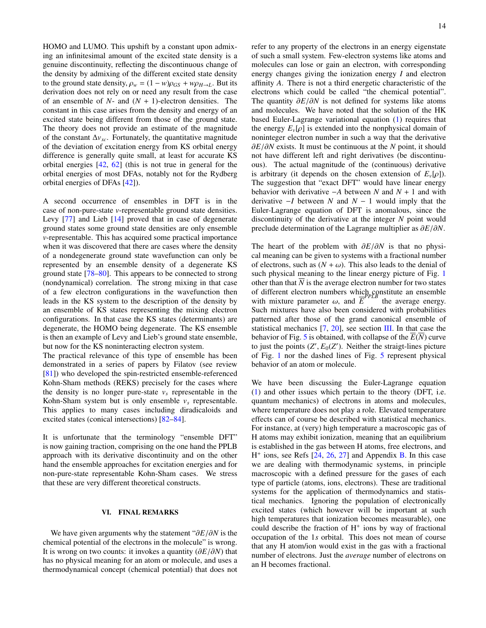HOMO and LUMO. This upshift by a constant upon admixing an infinitesimal amount of the excited state density is a genuine discontinuity, reflecting the discontinuous change of the density by admixing of the different excited state density to the ground state density,  $\rho_w = (1 - w)\rho_{GS} + w\rho_{H \to L}$ . But its derivation does not rely on or need any result from the case of an ensemble of *N*- and (*N* + 1)-electron densities. The constant in this case arises from the density and energy of an excited state being different from those of the ground state. The theory does not provide an estimate of the magnitude of the constant  $\Delta v_{xc}$ . Fortunately, the quantitative magnitude of the deviation of excitation energy from KS orbital energy difference is generally quite small, at least for accurate KS orbital energies [\[42,](#page-20-36) [62\]](#page-21-16) (this is not true in general for the orbital energies of most DFAs, notably not for the Rydberg orbital energies of DFAs [\[42\]](#page-20-36)).

A second occurrence of ensembles in DFT is in the case of non-pure-state *v*-representable ground state densities. Levy [\[77\]](#page-21-27) and Lieb [\[14\]](#page-20-12) proved that in case of degenerate ground states some ground state densities are only ensemble *v*-representable. This has acquired some practical importance when it was discovered that there are cases where the density of a nondegenerate ground state wavefunction can only be represented by an ensemble density of a degenerate KS ground state [\[78](#page-21-28)[–80\]](#page-21-29). This appears to be connected to strong (nondynamical) correlation. The strong mixing in that case of a few electron configurations in the wavefunction then leads in the KS system to the description of the density by an ensemble of KS states representing the mixing electron configurations. In that case the KS states (determinants) are degenerate, the HOMO being degenerate. The KS ensemble is then an example of Levy and Lieb's ground state ensemble, but now for the KS noninteracting electron system.

The practical relevance of this type of ensemble has been demonstrated in a series of papers by Filatov (see review [\[81\]](#page-21-30)) who developed the spin-restricted ensemble-referenced Kohn-Sham methods (REKS) precisely for the cases where the density is no longer pure-state  $v_s$  representable in the Kohn-Sham system but is only ensemble  $v_s$  representable. This applies to many cases including diradicaloids and excited states (conical intersections) [\[82–](#page-21-31)[84\]](#page-21-32).

It is unfortunate that the terminology "ensemble DFT" is now gaining traction, comprising on the one hand the PPLB approach with its derivative discontinuity and on the other hand the ensemble approaches for excitation energies and for non-pure-state representable Kohn-Sham cases. We stress that these are very different theoretical constructs.

#### <span id="page-13-0"></span>VI. FINAL REMARKS

We have given arguments why the statement "∂*E*/∂*<sup>N</sup>* is the chemical potential of the electrons in the molecule" is wrong. It is wrong on two counts: it invokes a quantity (∂*E*/∂*N*) that has no physical meaning for an atom or molecule, and uses a thermodynamical concept (chemical potential) that does not refer to any property of the electrons in an energy eigenstate of such a small system. Few-electron systems like atoms and molecules can lose or gain an electron, with corresponding energy changes giving the ionization energy *I* and electron affinity *A*. There is not a third energetic characteristic of the electrons which could be called "the chemical potential". The quantity ∂*E*/∂*<sup>N</sup>* is not defined for systems like atoms and molecules. We have noted that the solution of the HK based Euler-Lagrange variational equation [\(1\)](#page-0-0) requires that the energy  $E_v[\rho]$  is extended into the nonphysical domain of noninteger electron number in such a way that the derivative ∂*E*/∂*<sup>N</sup>* exists. It must be continuous at the *<sup>N</sup>* point, it should not have different left and right derivatives (be discontinuous). The actual magnitude of the (continuous) derivative is arbitrary (it depends on the chosen extension of  $E_v[\rho]$ ). The suggestion that "exact DFT" would have linear energy behavior with derivative −*A* between *N* and *N* + 1 and with derivative −*I* between *N* and *N* − 1 would imply that the Euler-Lagrange equation of DFT is anomalous, since the discontinuity of the derivative at the integer *N* point would preclude determination of the Lagrange multiplier as ∂*E*/∂*N*.

The heart of the problem with ∂*E*/∂*<sup>N</sup>* is that no physical meaning can be given to systems with a fractional number of electrons, such as  $(N + \omega)$ . This also leads to the denial of such physical meaning to the linear energy picture of Fig. [1](#page-3-0) other than that  $\overline{N}$  is the average electron number for two states of different electron numbers which constitute an ensemble with mixture parameter  $\omega$ , and  $\overline{E}^{PPLB}$  the average energy.<br>Such mixtures have also been considered with probabilities Such mixtures have also been considered with probabilities patterned after those of the grand canonical ensemble of statistical mechanics [\[7,](#page-20-6) [20\]](#page-20-18), see section [III.](#page-4-0) In that case the behavior of Fig. [5](#page-9-2) is obtained, with collapse of the  $\overline{E(N)}$  curve to just the points  $(Z', E_0(Z'))$ . Neither the straigt-lines picture<br>of Fig. 1, nor the dashed lines of Fig. 5 represent physical of Fig. [1](#page-3-0) nor the dashed lines of Fig. [5](#page-9-2) represent physical behavior of an atom or molecule.

We have been discussing the Euler-Lagrange equation [\(1\)](#page-0-0) and other issues which pertain to the theory (DFT, i.e. quantum mechanics) of electrons in atoms and molecules, where temperature does not play a role. Elevated temperature effects can of course be described with statistical mechanics. For instance, at (very) high temperature a macroscopic gas of H atoms may exhibit ionization, meaning that an equilibrium is established in the gas between H atoms, free electrons, and H<sup>+</sup> ions, see Refs [\[24,](#page-20-24) [26,](#page-20-23) [27\]](#page-20-38) and Appendix [B.](#page-18-0) In this case we are dealing with thermodynamic systems, in principle macroscopic with a defined pressure for the gases of each type of particle (atoms, ions, electrons). These are traditional systems for the application of thermodynamics and statistical mechanics. Ignoring the population of electronically excited states (which however will be important at such high temperatures that ionization becomes measurable), one could describe the fraction of  $H^+$  ions by way of fractional occupation of the 1*s* orbital. This does not mean of course that any H atom/ion would exist in the gas with a fractional number of electrons. Just the *average* number of electrons on an H becomes fractional.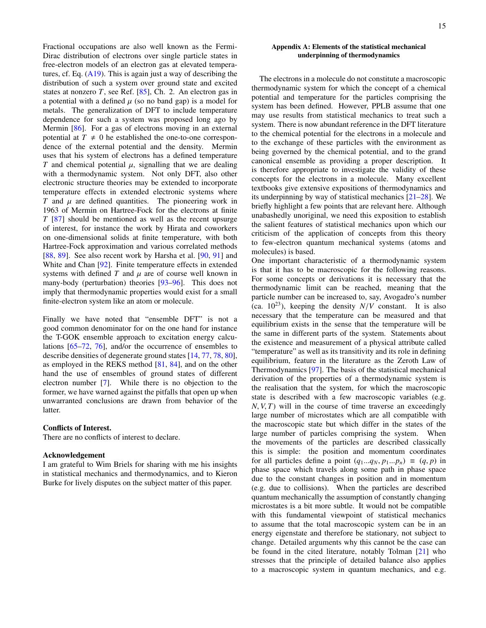Fractional occupations are also well known as the Fermi-Dirac distribution of electrons over single particle states in free-electron models of an electron gas at elevated temperatures, cf. Eq.  $(A19)$ . This is again just a way of describing the distribution of such a system over ground state and excited states at nonzero  $T$ , see Ref.  $[85]$ , Ch. 2. An electron gas in a potential with a defined  $\mu$  (so no band gap) is a model for metals. The generalization of DFT to include temperature dependence for such a system was proposed long ago by Mermin [\[86\]](#page-21-34). For a gas of electrons moving in an external potential at  $T \neq 0$  he established the one-to-one correspondence of the external potential and the density. Mermin uses that his system of electrons has a defined temperature *T* and chemical potential  $\mu$ , signalling that we are dealing with a thermodynamic system. Not only DFT, also other electronic structure theories may be extended to incorporate temperature effects in extended electronic systems where *T* and  $\mu$  are defined quantities. The pioneering work in 1963 of Mermin on Hartree-Fock for the electrons at finite *T* [\[87\]](#page-21-35) should be mentioned as well as the recent upsurge of interest, for instance the work by Hirata and coworkers on one-dimensional solids at finite temperature, with both Hartree-Fock approximation and various correlated methods [\[88,](#page-21-36) [89\]](#page-21-37). See also recent work by Harsha et al. [\[90,](#page-21-38) [91\]](#page-21-39) and White and Chan [\[92\]](#page-21-40). Finite temperature effects in extended systems with defined  $T$  and  $\mu$  are of course well known in many-body (perturbation) theories [\[93](#page-21-41)[–96\]](#page-21-42). This does not imply that thermodynamic properties would exist for a small finite-electron system like an atom or molecule.

Finally we have noted that "ensemble DFT" is not a good common denominator for on the one hand for instance the T-GOK ensemble approach to excitation energy calculations [\[65–](#page-21-19)[72,](#page-21-23) [76\]](#page-21-26), and/or the occurrence of ensembles to describe densities of degenerate ground states [\[14,](#page-20-12) [77,](#page-21-27) [78,](#page-21-28) [80\]](#page-21-29), as employed in the REKS method [\[81,](#page-21-30) [84\]](#page-21-32), and on the other hand the use of ensembles of ground states of different electron number [\[7\]](#page-20-6). While there is no objection to the former, we have warned against the pitfalls that open up when unwarranted conclusions are drawn from behavior of the latter.

# Conflicts of Interest.

There are no conflicts of interest to declare.

# Acknowledgement

I am grateful to Wim Briels for sharing with me his insights in statistical mechanics and thermodynamics, and to Kieron Burke for lively disputes on the subject matter of this paper.

# <span id="page-14-0"></span>Appendix A: Elements of the statistical mechanical underpinning of thermodynamics

The electrons in a molecule do not constitute a macroscopic thermodynamic system for which the concept of a chemical potential and temperature for the particles comprising the system has been defined. However, PPLB assume that one may use results from statistical mechanics to treat such a system. There is now abundant reference in the DFT literature to the chemical potential for the electrons in a molecule and to the exchange of these particles with the environment as being governed by the chemical potential, and to the grand canonical ensemble as providing a proper description. It is therefore appropriate to investigate the validity of these concepts for the electrons in a molecule. Many excellent textbooks give extensive expositions of thermodynamics and its underpinning by way of statistical mechanics [\[21](#page-20-19)[–28\]](#page-20-20). We briefly highlight a few points that are relevant here. Although unabashedly unoriginal, we need this exposition to establish the salient features of statistical mechanics upon which our criticism of the application of concepts from this theory to few-electron quantum mechanical systems (atoms and molecules) is based.

One important characteristic of a thermodynamic system is that it has to be macroscopic for the following reasons. For some concepts or derivations it is necessary that the thermodynamic limit can be reached, meaning that the particle number can be increased to, say, Avogadro's number (ca.  $10^{23}$ ), keeping the density  $N/V$  constant. It is also necessary that the temperature can be measured and that equilibrium exists in the sense that the temperature will be the same in different parts of the system. Statements about the existence and measurement of a physical attribute called "temperature" as well as its transitivity and its role in defining equilibrium, feature in the literature as the Zeroth Law of Thermodynamics [\[97\]](#page-21-43). The basis of the statistical mechanical derivation of the properties of a thermodynamic system is the realisation that the system, for which the macroscopic state is described with a few macroscopic variables (e.g.  $N, V, T$  will in the course of time traverse an exceedingly large number of microstates which are all compatible with the macroscopic state but which differ in the states of the large number of particles comprising the system. When the movements of the particles are described classically this is simple: the position and momentum coordinates for all particles define a point  $(q_1...q_N, p_1...p_n) \equiv (q, p)$  in phase space which travels along some path in phase space due to the constant changes in position and in momentum (e.g. due to collisions). When the particles are described quantum mechanically the assumption of constantly changing microstates is a bit more subtle. It would not be compatible with this fundamental viewpoint of statistical mechanics to assume that the total macroscopic system can be in an energy eigenstate and therefore be stationary, not subject to change. Detailed arguments why this cannot be the case can be found in the cited literature, notably Tolman [\[21\]](#page-20-19) who stresses that the principle of detailed balance also applies to a macroscopic system in quantum mechanics, and e.g.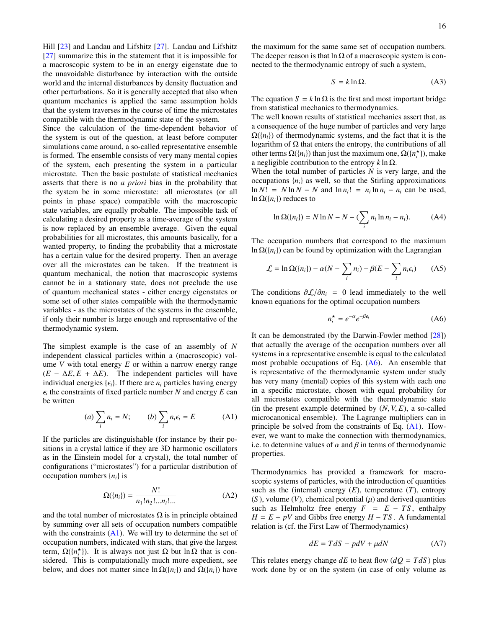Hill [\[23\]](#page-20-21) and Landau and Lifshitz [\[27\]](#page-20-38). Landau and Lifshitz [\[27\]](#page-20-38) summarize this in the statement that it is impossible for a macroscopic system to be in an energy eigenstate due to the unavoidable disturbance by interaction with the outside world and the internal disturbances by density fluctuation and other perturbations. So it is generally accepted that also when quantum mechanics is applied the same assumption holds that the system traverses in the course of time the microstates compatible with the thermodynamic state of the system.

Since the calculation of the time-dependent behavior of the system is out of the question, at least before computer simulations came around, a so-called representative ensemble is formed. The ensemble consists of very many mental copies of the system, each presenting the system in a particular microstate. Then the basic postulate of statistical mechanics asserts that there is no *a priori* bias in the probability that the system be in some microstate: all microstates (or all points in phase space) compatible with the macroscopic state variables, are equally probable. The impossible task of calculating a desired property as a time-average of the system is now replaced by an ensemble average. Given the equal probabilities for all microstates, this amounts basically, for a wanted property, to finding the probability that a microstate has a certain value for the desired property. Then an average over all the microstates can be taken. If the treatment is quantum mechanical, the notion that macroscopic systems cannot be in a stationary state, does not preclude the use of quantum mechanical states - either energy eigenstates or some set of other states compatible with the thermodynamic variables - as the microstates of the systems in the ensemble, if only their number is large enough and representative of the thermodynamic system.

The simplest example is the case of an assembly of *N* independent classical particles within a (macroscopic) volume *V* with total energy *E* or within a narrow energy range  $(E - \Delta E, E + \Delta E)$ . The independent particles will have individual energies  $\{\epsilon_i\}$ . If there are  $n_i$  particles having energy  $\epsilon_i$  une cons<br>be written  $\epsilon_i$  the constraints of fixed particle number *N* and energy *E* can

$$
(a) \sum_{i} n_i = N; \qquad (b) \sum_{i} n_i \epsilon_i = E \qquad (A1)
$$

If the particles are distinguishable (for instance by their positions in a crystal lattice if they are 3D harmonic oscillators as in the Einstein model for a crystal), the total number of configurations ("microstates") for a particular distribution of occupation numbers  $\{n_i\}$  is

<span id="page-15-3"></span>
$$
\Omega(\{n_i\}) = \frac{N!}{n_1! n_2! \dots n_i! \dots} \tag{A2}
$$

and the total number of microstates  $\Omega$  is in principle obtained by summing over all sets of occupation numbers compatible with the constraints  $(A1)$ . We will try to determine the set of occupation numbers, indicated with stars, that give the largest term,  $\Omega({n \atop i})$ . It is always not just  $\Omega$  but  $\ln \Omega$  that is considered. This is computationally much more expedient, see below, and does not matter since  $\ln \Omega({n_i})$  and  $\Omega({n_i})$  have the maximum for the same same set of occupation numbers. The deeper reason is that ln  $\Omega$  of a macroscopic system is connected to the thermodynamic entropy of such a system,

<span id="page-15-4"></span>
$$
S = k \ln \Omega. \tag{A3}
$$

The equation  $S = k \ln \Omega$  is the first and most important bridge from statistical mechanics to thermodynamics.

The well known results of statistical mechanics assert that, as a consequence of the huge number of particles and very large  $\Omega({n_i})$  of thermodynamic systems, and the fact that it is the logarithm of  $\Omega$  that enters the entropy, the contributions of all other terms  $\Omega({n_i})$  than just the maximum one,  $\Omega({n_i^{\star}})$ , make a negligible contribution to the entropy *k* ln Ω.

When the total number of particles *N* is very large, and the occupations  ${n_i}$  as well, so that the Stirling approximations ln  $N! = N \ln N - N$  and  $\ln n_i! = n_i \ln n_i - n_i$  can be used, ln  $\Omega({n_i})$  reduces to

$$
\ln \Omega(\lbrace n_i \rbrace) = N \ln N - N - (\sum_i n_i \ln n_i - n_i). \tag{A4}
$$

The occupation numbers that correspond to the maximum ln  $\Omega({n_i})$  can be found by optimization with the Lagrangian

<span id="page-15-5"></span>
$$
\mathcal{L} = \ln \Omega(\{n_i\}) - \alpha (N - \sum_i n_i) - \beta (E - \sum_i n_i \epsilon_i)
$$
 (A5)

The conditions  $\partial \mathcal{L}/\partial n_i = 0$  lead immediately to the well known equations for the optimal occupation numbers

<span id="page-15-2"></span>
$$
n_i^* = e^{-\alpha} e^{-\beta \epsilon_i} \tag{A6}
$$

It can be demonstrated (by the Darwin-Fowler method [\[28\]](#page-20-20)) that actually the average of the occupation numbers over all systems in a representative ensemble is equal to the calculated most probable occupations of Eq. [\(A6\)](#page-15-2). An ensemble that is representative of the thermodynamic system under study has very many (mental) copies of this system with each one in a specific microstate, chosen with equal probability for all microstates compatible with the thermodynamic state (in the present example determined by  $(N, V, E)$ , a so-called microcanonical ensemble). The Lagrange multipliers can in principle be solved from the constraints of Eq.  $(A1)$ . However, we want to make the connection with thermodynamics, i.e. to determine values of  $\alpha$  and  $\beta$  in terms of thermodynamic properties.

<span id="page-15-1"></span>Thermodynamics has provided a framework for macroscopic systems of particles, with the introduction of quantities such as the (internal) energy  $(E)$ , temperature  $(T)$ , entropy  $(S)$ , volume  $(V)$ , chemical potential  $(\mu)$  and derived quantities such as Helmholtz free energy  $F = E - TS$ , enthalpy  $H = E + pV$  and Gibbs free energy  $H - TS$ . A fundamental relation is (cf. the First Law of Thermodynamics)

<span id="page-15-0"></span>
$$
dE = TdS - pdV + \mu dN \tag{A7}
$$

This relates energy change  $dE$  to heat flow  $(dQ = T dS)$  plus work done by or on the system (in case of only volume as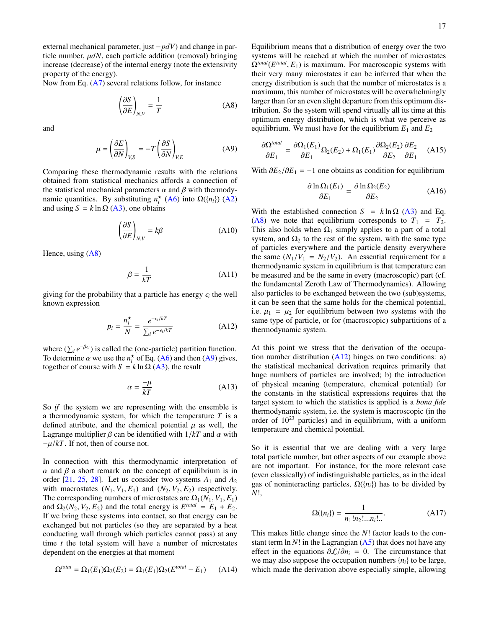external mechanical parameter, just −*pdV*) and change in particle number,  $\mu dN$ , each particle addition (removal) bringing increase (decrease) of the internal energy (note the extensivity property of the energy).

Now from Eq. [\(A7\)](#page-15-0) several relations follow, for instance

<span id="page-16-1"></span>
$$
\left(\frac{\partial S}{\partial E}\right)_{N,V} = \frac{1}{T}
$$
 (A8)

and

<span id="page-16-0"></span>
$$
\mu = \left(\frac{\partial E}{\partial N}\right)_{V,S} = -T \left(\frac{\partial S}{\partial N}\right)_{V,E}
$$
(A9)

Comparing these thermodynamic results with the relations obtained from statistical mechanics affords a connection of the statistical mechanical parameters  $\alpha$  and  $\beta$  with thermodynamic quantities. By substituting  $n_i^{\star}$  [\(A6\)](#page-15-2) into  $\Omega({n_i})$  [\(A2\)](#page-15-3) and using  $S = k \ln \Omega$  [\(A3\)](#page-15-4), one obtains

$$
\left(\frac{\partial S}{\partial E}\right)_{N,V} = k\beta \tag{A10}
$$

Hence, using [\(A8\)](#page-16-1)

<span id="page-16-4"></span>
$$
\beta = \frac{1}{kT} \tag{A11}
$$

giving for the probability that a particle has energy  $\epsilon_i$  the well known expression known expression

<span id="page-16-2"></span>
$$
p_i = \frac{n_i^{\star}}{N} = \frac{e^{-\epsilon_i/kT}}{\sum_i e^{-\epsilon_i/kT}}
$$
 (A12)

where  $(\sum_i e^{-\beta \epsilon_i})$  is called the (one-particle) partition function. To determine  $\alpha$  we use the  $n_i^*$  of Eq. [\(A6\)](#page-15-2) and then [\(A9\)](#page-16-0) gives, together of course with  $S = k \ln O(43)$  the result together of course with  $S = k \ln \Omega$  [\(A3\)](#page-15-4), the result

<span id="page-16-3"></span>
$$
\alpha = \frac{-\mu}{kT} \tag{A13}
$$

So *if* the system we are representing with the ensemble is a thermodynamic system, for which the temperature *T* is a defined attribute, and the chemical potential  $\mu$  as well, the Lagrange multiplier  $\beta$  can be identified with  $1/kT$  and  $\alpha$  with  $-\mu/kT$ . If not, then of course not.

In connection with this thermodynamic interpretation of  $\alpha$  and  $\beta$  a short remark on the concept of equilibrium is in order  $[21, 25, 28]$  $[21, 25, 28]$  $[21, 25, 28]$  $[21, 25, 28]$  $[21, 25, 28]$ . Let us consider two systems  $A_1$  and  $A_2$ with macrostates  $(N_1, V_1, E_1)$  and  $(N_2, V_2, E_2)$  respectively. The corresponding numbers of microstates are  $\Omega_1(N_1, V_1, E_1)$ and  $\Omega_2(N_2, V_2, E_2)$  and the total energy is  $E^{total} = E_1 + E_2$ .<br>If we bring these systems into contact, so that energy can be If we bring these systems into contact, so that energy can be exchanged but not particles (so they are separated by a heat conducting wall through which particles cannot pass) at any time *t* the total system will have a number of microstates dependent on the energies at that moment

$$
\Omega^{total} = \Omega_1(E_1)\Omega_2(E_2) = \Omega_1(E_1)\Omega_2(E^{total} - E_1) \qquad (A14)
$$

Equilibrium means that a distribution of energy over the two systems will be reached at which the number of microstates  $\Omega^{total}(E^{total}, E_1)$  is maximum. For macroscopic systems with their very many microstates it can be inferred that when the their very many microstates it can be inferred that when the energy distribution is such that the number of microstates is a maximum, this number of microstates will be overwhelmingly larger than for an even slight departure from this optimum distribution. So the system will spend virtually all its time at this optimum energy distribution, which is what we perceive as equilibrium. We must have for the equilibrium  $E_1$  and  $E_2$ 

$$
\frac{\partial \Omega^{total}}{\partial E_1} = \frac{\partial \Omega_1(E_1)}{\partial E_1} \Omega_2(E_2) + \Omega_1(E_1) \frac{\partial \Omega_2(E_2)}{\partial E_2} \frac{\partial E_2}{\partial E_1} \quad (A15)
$$

With  $\partial E_2/\partial E_1 = -1$  one obtains as condition for equilibrium

$$
\frac{\partial \ln \Omega_1(E_1)}{\partial E_1} = \frac{\partial \ln \Omega_2(E_2)}{\partial E_2}
$$
 (A16)

With the established connection  $S = k \ln \Omega$  [\(A3\)](#page-15-4) and Eq. [\(A8\)](#page-16-1) we note that equilibrium corresponds to  $T_1 = T_2$ . This also holds when  $\Omega_1$  simply applies to a part of a total system, and  $\Omega_2$  to the rest of the system, with the same type of particles everywhere and the particle density everywhere the same  $(N_1/V_1 = N_2/V_2)$ . An essential requirement for a thermodynamic system in equilibrium is that temperature can be measured and be the same in every (macroscopic) part (cf. the fundamental Zeroth Law of Thermodynamics). Allowing also particles to be exchanged between the two (sub)systems, it can be seen that the same holds for the chemical potential, i.e.  $\mu_1 = \mu_2$  for equilibrium between two systems with the same type of particle, or for (macroscopic) subpartitions of a thermodynamic system.

At this point we stress that the derivation of the occupation number distribution  $(A12)$  hinges on two conditions: a) the statistical mechanical derivation requires primarily that huge numbers of particles are involved; b) the introduction of physical meaning (temperature, chemical potential) for the constants in the statistical expressions requires that the target system to which the statistics is applied is a *bona fide* thermodynamic system, i.e. the system is macroscopic (in the order of  $10^{23}$  particles) and in equilibrium, with a uniform temperature and chemical potential.

So it is essential that we are dealing with a very large total particle number, but other aspects of our example above are not important. For instance, for the more relevant case (even classically) of indistinguishable particles, as in the ideal gas of noninteracting particles,  $\Omega({n_i})$  has to be divided by *N*!,

$$
\Omega(\{n_i\}) = \frac{1}{n_1! n_2! \dots n_i! \dots}.
$$
\n(A17)

This makes little change since the *N*! factor leads to the constant term  $\ln N!$  in the Lagrangian  $(A5)$  that does not have any effect in the equations <sup>∂</sup>L/∂*n<sup>i</sup>* <sup>=</sup> 0. The circumstance that we may also suppose the occupation numbers  ${n_i}$  to be large, which made the derivation above especially simple, allowing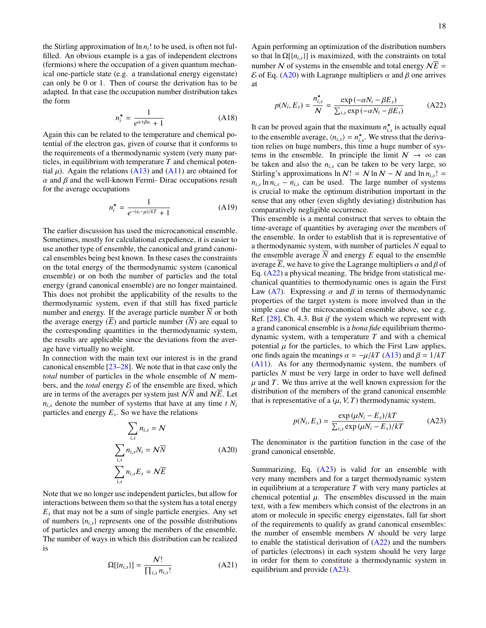the Stirling approximation of  $\ln n_i!$  to be used, is often not fulfilled. An obvious example is a gas of independent electrons (fermions) where the occupation of a given quantum mechanical one-particle state (e.g. a translational energy eigenstate) can only be 0 or 1. Then of course the derivation has to be adapted. In that case the occupation number distribution takes the form

$$
n_i^* = \frac{1}{e^{\alpha + \beta \epsilon_i} + 1} \tag{A18}
$$

Again this can be related to the temperature and chemical potential of the electron gas, given of course that it conforms to the requirements of a thermodynamic system (very many particles, in equilibrium with temperature *T* and chemical potential  $\mu$ ). Again the relations [\(A13\)](#page-16-3) and [\(A11\)](#page-16-4) are obtained for  $\alpha$  and  $\beta$  and the well-known Fermi- Dirac occupations result for the average occupations

<span id="page-17-2"></span>
$$
n_i^* = \frac{1}{e^{-(\epsilon_i - \mu)/kT} + 1} \tag{A19}
$$

The earlier discussion has used the microcanonical ensemble. Sometimes, mostly for calculational expedience, it is easier to use another type of ensemble, the canonical and grand canonical ensembles being best known. In these cases the constraints on the total energy of the thermodynamic system (canonical ensemble) or on both the number of particles and the total energy (grand canonical ensemble) are no longer maintained. This does not prohibit the applicability of the results to the thermodynamic system, even if that still has fixed particle number and energy. If the average particle number *N* or both the average energy  $(\overline{E})$  and particle number  $(\overline{N})$  are equal to the corresponding quantities in the thermodynamic system, the results are applicable since the deviations from the average have virtually no weight.

In connection with the main text our interest is in the grand canonical ensemble [\[23–](#page-20-21)[28\]](#page-20-20). We note that in that case only the *total* number of particles in the whole ensemble of N members, and the *total* energy  $\mathcal E$  of the ensemble are fixed, which are in terms of the averages per system just  $N\overline{N}$  and  $N\overline{E}$ . Let  $n_{i,s}$  denote the number of systems that have at any time *t N<sub>i</sub>* particles and energy *E<sup>s</sup>* . So we have the relations

$$
\sum_{i,s} n_{i,s} = \mathcal{N}
$$
\n
$$
\sum_{i,s} n_{i,s} N_i = \mathcal{N}\overline{N}
$$
\n
$$
\sum_{i,s} n_{i,s} E_s = \mathcal{N}\overline{E}
$$
\n(A20)

Note that we no longer use independent particles, but allow for interactions between them so that the system has a total energy  $E<sub>s</sub>$  that may not be a sum of single particle energies. Any set of numbers  ${n_{i,s}}$  represents one of the possible distributions of particles and energy among the members of the ensemble. The number of ways in which this distribution can be realized is

$$
\Omega[\{n_{i,s}\}] = \frac{N!}{\prod_{i,s} n_{i,s}!}
$$
 (A21)

Again performing an optimization of the distribution numbers so that  $\ln \Omega[\{n_{i,s}\}]$  is maximized, with the constraints on total number N of systems in the ensemble and total energy  $N\overline{E}$  =  $\mathcal E$  of Eq. [\(A20\)](#page-17-3) with Lagrange multipliers α and β one arrives at

<span id="page-17-0"></span>
$$
p(N_i, E_s) = \frac{n_{i,s}^{\star}}{N} = \frac{\exp(-\alpha N_i - \beta E_s)}{\sum_{i,s} \exp(-\alpha N_i - \beta E_s)}
$$
(A22)

It can be proved again that the maximum  $n_{i,s}^{\star}$  is actually equal to the ensemble average,  $\langle n_{i,s} \rangle = n_{i,s}^{\star}$ . We stress that the deriva-<br>tion relies on buse numbers, this time a buse number of sys $i$ ,  $i_{i,s}$ ,  $i_{i,s}$ ,  $i_{i,s}$ ,  $i_{i,s}$ ,  $i_{i,s}$ ,  $i_{i,s}$ ,  $i_{i,s}$ ,  $i_{i,s}$ ,  $i_{i,s}$ ,  $i_{i,s}$ ,  $i_{i,s}$ ,  $i_{i,s}$ ,  $i_{i,s}$ ,  $i_{i,s}$ ,  $i_{i,s}$ ,  $i_{i,s}$ ,  $i_{i,s}$ ,  $i_{i,s}$ ,  $i_{i,s}$ ,  $i_{i,s}$ ,  $i_{i,s}$ ,  $i_{i,s}$ ,  $i_{i,s}$ ,  $i_{i,s}$ , tems in the ensemble. In principle the limit  $N \to \infty$  can be taken and also the  $n_{i,s}$  can be taken to be very large, so Stirling's approximations  $\ln N! = N \ln N - N$  and  $\ln n_{i,s}! =$  $n_{i,s}$  ln  $n_{i,s} - n_{i,s}$  can be used. The large number of systems is expansion to make the optimum distribution important in the is crucial to make the optimum distribution important in the sense that any other (even slightly deviating) distribution has comparatively negligible occurrence.

This ensemble is a mental construct that serves to obtain the time-average of quantities by averaging over the members of the ensemble. In order to establish that it is representative of a thermodynamic system, with number of particles *N* equal to the ensemble average *N* and energy *E* equal to the ensemble average *E*, we have to give the Lagrange multipliers  $\alpha$  and  $\beta$  of Eq. [\(A22\)](#page-17-0) a physical meaning. The bridge from statistical mechanical quantities to thermodynamic ones is again the First Law [\(A7\)](#page-15-0). Expressing  $\alpha$  and  $\beta$  in terms of thermodynamic properties of the target system is more involved than in the simple case of the microcanonical ensemble above, see e.g. Ref. [\[28\]](#page-20-20), Ch. 4.3. But *if* the system which we represent with a grand canonical ensemble is a *bona fide* equilibrium thermodynamic system, with a temperature *T* and with a chemical potential  $\mu$  for the particles, to which the First Law applies, one finds again the meanings  $\alpha = -\mu/kT$  [\(A13\)](#page-16-3) and  $\beta = 1/kT$ [\(A11\)](#page-16-4). As for any thermodynamic system, the numbers of particles *N* must be very large in order to have well defined  $\mu$  and *T*. We thus arrive at the well known expression for the distribution of the members of the grand canonical ensemble that is representative of a  $(\mu, V, T)$  thermodynamic system,

<span id="page-17-1"></span>
$$
p(N_i, E_s) = \frac{\exp(\mu N_i - E_s)/kT}{\sum_{i,s} \exp(\mu N_i - E_s)/kT}
$$
 (A23)

<span id="page-17-3"></span>The denominator is the partition function in the case of the grand canonical ensemble.

Summarizing, Eq.  $(A23)$  is valid for an ensemble with very many members and for a target thermodynamic system in equilibrium at a temperature *T* with very many particles at chemical potential  $\mu$ . The ensembles discussed in the main text, with a few members which consist of the electrons in an atom or molecule in specific energy eigenstates, fall far short of the requirements to qualify as grand canonical ensembles: the number of ensemble members  $N$  should be very large to enable the statistical derivation of  $(A22)$  and the numbers of particles (electrons) in each system should be very large in order for them to constitute a thermodynamic system in equilibrium and provide [\(A23\)](#page-17-1).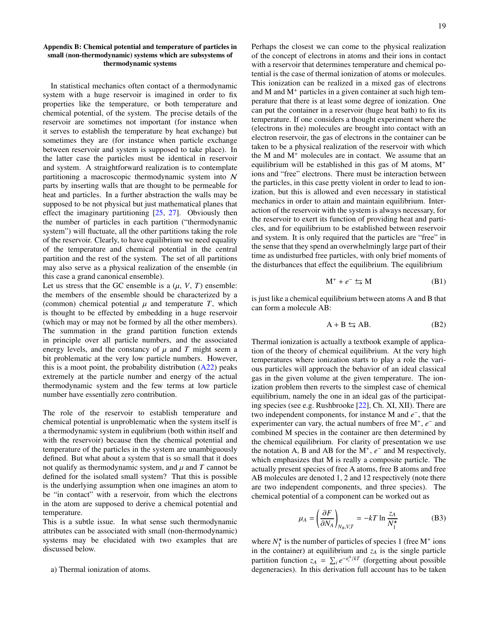# <span id="page-18-0"></span>Appendix B: Chemical potential and temperature of particles in small (non-thermodynamic) systems which are subsystems of thermodynamic systems

In statistical mechanics often contact of a thermodynamic system with a huge reservoir is imagined in order to fix properties like the temperature, or both temperature and chemical potential, of the system. The precise details of the reservoir are sometimes not important (for instance when it serves to establish the temperature by heat exchange) but sometimes they are (for instance when particle exchange between reservoir and system is supposed to take place). In the latter case the particles must be identical in reservoir and system. A straightforward realization is to contemplate partitioning a macroscopic thermodynamic system into N parts by inserting walls that are thought to be permeable for heat and particles. In a further abstraction the walls may be supposed to be not physical but just mathematical planes that effect the imaginary partitioning  $[25, 27]$  $[25, 27]$  $[25, 27]$ . Obviously then the number of particles in each partition ("thermodynamic system") will fluctuate, all the other partitions taking the role of the reservoir. Clearly, to have equilibrium we need equality of the temperature and chemical potential in the central partition and the rest of the system. The set of all partitions may also serve as a physical realization of the ensemble (in this case a grand canonical ensemble).

Let us stress that the GC ensemble is a  $(\mu, V, T)$  ensemble: the members of the ensemble should be characterized by a (common) chemical potential  $\mu$  and temperature  $T$ , which is thought to be effected by embedding in a huge reservoir (which may or may not be formed by all the other members). The summation in the grand partition function extends in principle over all particle numbers, and the associated energy levels, and the constancy of  $\mu$  and  $T$  might seem a bit problematic at the very low particle numbers. However, this is a moot point, the probability distribution  $(A22)$  peaks extremely at the particle number and energy of the actual thermodynamic system and the few terms at low particle number have essentially zero contribution.

The role of the reservoir to establish temperature and chemical potential is unproblematic when the system itself is a thermodynamic system in equlibrium (both within itself and with the reservoir) because then the chemical potential and temperature of the particles in the system are unambiguously defined. But what about a system that is so small that it does not qualify as thermodynamic system, and  $\mu$  and  $T$  cannot be defined for the isolated small system? That this is possible is the underlying assumption when one imagines an atom to be "in contact" with a reservoir, from which the electrons in the atom are supposed to derive a chemical potential and temperature.

This is a subtle issue. In what sense such thermodynamic attributes can be associated with small (non-thermodynamic) systems may be elucidated with two examples that are discussed below.

a) Thermal ionization of atoms.

Perhaps the closest we can come to the physical realization of the concept of electrons in atoms and their ions in contact with a reservoir that determines temperature and chemical potential is the case of thermal ionization of atoms or molecules. This ionization can be realized in a mixed gas of electrons and M and  $M<sup>+</sup>$  particles in a given container at such high temperature that there is at least some degree of ionization. One can put the container in a reservoir (huge heat bath) to fix its temperature. If one considers a thought experiment where the (electrons in the) molecules are brought into contact with an electron reservoir, the gas of electrons in the container can be taken to be a physical realization of the reservoir with which the M and  $M<sup>+</sup>$  molecules are in contact. We assume that an equilibrium will be established in this gas of M atoms,  $M^+$ ions and "free" electrons. There must be interaction between the particles, in this case pretty violent in order to lead to ionization, but this is allowed and even necessary in statistical mechanics in order to attain and maintain equilibrium. Interaction of the reservoir with the system is always necessary, for the reservoir to exert its function of providing heat and particles, and for equilibrium to be established between reservoir and system. It is only required that the particles are "free" in the sense that they spend an overwhelmingly large part of their time as undisturbed free particles, with only brief moments of the disturbances that effect the equilibrium. The equilibrium

<span id="page-18-1"></span>
$$
M^+ + e^- \leftrightarrows M \tag{B1}
$$

is just like a chemical equilibrium between atoms A and B that can form a molecule AB:

$$
A + B \leftrightarrows AB. \tag{B2}
$$

Thermal ionization is actually a textbook example of application of the theory of chemical equilibrium. At the very high temperatures where ionization starts to play a role the various particles will approach the behavior of an ideal classical gas in the given volume at the given temperature. The ionization problem then reverts to the simplest case of chemical equilibrium, namely the one in an ideal gas of the participating species (see e.g. Rushbrooke [\[22\]](#page-20-40), Ch. XI, XII). There are two independent components, for instance M and *e* − , that the experimenter can vary, the actual numbers of free  $M^+$ ,  $e^-$  and combined M species in the container are then determined by the chemical equilibrium. For clarity of presentation we use the notation A, B and AB for the  $M^+$ ,  $e^-$  and M respectively, which emphasizes that M is really a composite particle. The actually present species of free A atoms, free B atoms and free AB molecules are denoted 1, 2 and 12 respectively (note there are two independent components, and three species). The chemical potential of a component can be worked out as

$$
\mu_A = \left(\frac{\partial F}{\partial N_A}\right)_{N_B, V, T} = -kT \ln \frac{z_A}{N_1^{\star}} \tag{B3}
$$

where  $N_1^*$  is the number of particles of species 1 (free  $M^+$  ions in the container) at equilibrium and  $z_A$  is the single particle partition function  $z_A = \sum_i e^{-\epsilon_i^A/kT}$  (forgetting about possible degeneracies). In this derivation full account has to be taken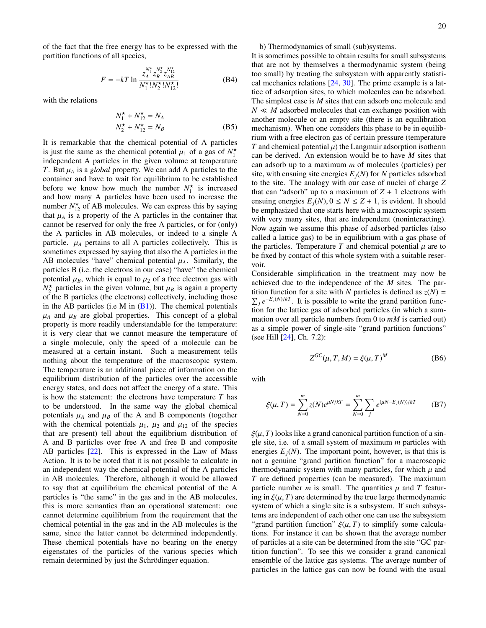of the fact that the free energy has to be expressed with the partition functions of all species,

$$
F = -kT \ln \frac{Z_A^{N_1^*} N_2^*}{N_1^*! N_2^*! N_{12}^*!}
$$
 (B4)

with the relations

$$
N_1^* + N_{12}^* = N_A
$$
  
\n
$$
N_2^* + N_{12}^* = N_B
$$
 (B5)

It is remarkable that the chemical potential of A particles is just the same as the chemical potential  $\mu_1$  of a gas of  $N_1^*$ <br>independent A particles in the given volume at temperature independent A particles in the given volume at temperature *T*. But  $\mu_A$  is a *global* property. We can add A particles to the container and have to wait for equilibrium to be established before we know how much the number  $N_1^*$  is increased and how many A particles have been used to increase the number  $N_{12}^{\star}$  of AB molecules. We can express this by saying that  $\mu_A$  is a property of the A particles in the container that cannot be reserved for only the free A particles, or for (only) the A particles in AB molecules, or indeed to a single A particle.  $\mu_A$  pertains to all A particles collectively. This is sometimes expressed by saying that also the A particles in the AB molecules "have" chemical potential  $\mu_A$ . Similarly, the particles B (i.e. the electrons in our case) "have" the chemical potential  $\mu_B$ , which is equal to  $\mu_2$  of a free electron gas with  $N_2^{\star}$  particles in the given volume, but  $\mu_B$  is again a property<br>of the B particles (the electrons) collectively including those of the B particles (the electrons) collectively, including those in the AB particles (i.e M in  $(B1)$ ). The chemical potentials  $\mu_A$  and  $\mu_B$  are global properties. This concept of a global property is more readily understandable for the temperature: it is very clear that we cannot measure the temperature of a single molecule, only the speed of a molecule can be measured at a certain instant. Such a measurement tells nothing about the temperature of the macroscopic system. The temperature is an additional piece of information on the equilibrium distribution of the particles over the accessible energy states, and does not affect the energy of a state. This is how the statement: the electrons have temperature *T* has to be understood. In the same way the global chemical potentials  $\mu_A$  and  $\mu_B$  of the A and B components (together with the chemical potentials  $\mu_1$ ,  $\mu_2$  and  $\mu_{12}$  of the species that are present) tell about the equilibrium distribution of A and B particles over free A and free B and composite AB particles [\[22\]](#page-20-40). This is expressed in the Law of Mass Action. It is to be noted that it is not possible to calculate in an independent way the chemical potential of the A particles in AB molecules. Therefore, although it would be allowed to say that at equilibrium the chemical potential of the A particles is "the same" in the gas and in the AB molecules, this is more semantics than an operational statement: one cannot determine equilibrium from the requirement that the chemical potential in the gas and in the AB molecules is the same, since the latter cannot be determined independently. These chemical potentials have no bearing on the energy eigenstates of the particles of the various species which remain determined by just the Schrödinger equation.

b) Thermodynamics of small (sub)systems.

It is sometimes possible to obtain results for small subsystems that are not by themselves a thermodynamic system (being too small) by treating the subsystem with apparently statistical mechanics relations [\[24,](#page-20-24) [30\]](#page-20-25). The prime example is a lattice of adsorption sites, to which molecules can be adsorbed. The simplest case is *M* sites that can adsorb one molecule and  $N \ll M$  adsorbed molecules that can exchange position with another molecule or an empty site (there is an equilibration mechanism). When one considers this phase to be in equilibrium with a free electron gas of certain pressure (temperature *T* and chemical potential  $\mu$ ) the Langmuir adsorption isotherm can be derived. An extension would be to have *M* sites that can adsorb up to a maximum *m* of molecules (particles) per site, with ensuing site energies  $E_i(N)$  for *N* particles adsorbed to the site. The analogy with our case of nuclei of charge *Z* that can "adsorb" up to a maximum of  $Z + 1$  electrons with ensuing energies  $E_i(N)$ ,  $0 \le N \le Z + 1$ , is evident. It should be emphasized that one starts here with a macroscopic system with very many sites, that are independent (noninteracting). Now again we assume this phase of adsorbed particles (also called a lattice gas) to be in equilibrium with a gas phase of the particles. Temperature T and chemical potential  $\mu$  are to be fixed by contact of this whole system with a suitable reservoir.

Considerable simplification in the treatment may now be achieved due to the independence of the *M* sites. The partition function for a site with *N* particles is defined as  $z(N) =$  $\sum_{j} e^{-E_{j}(N)/kT}$ . It is possible to write the grand partition function for the lattice gas of adsorbed particles (in which a summation over all particle numbers from 0 to *mM* is carried out) as a simple power of single-site "grand partition functions" (see Hill [\[24\]](#page-20-24), Ch. 7.2):

$$
Z^{GC}(\mu, T, M) = \xi(\mu, T)^M
$$
 (B6)

with

<span id="page-19-0"></span>
$$
\xi(\mu, T) = \sum_{N=0}^{m} z(N)e^{\mu N/kT} = \sum_{N=0}^{m} \sum_{j} e^{(\mu N - E_j(N))/kT}
$$
 (B7)

 $\xi(\mu, T)$  looks like a grand canonical partition function of a single site, i.e. of a small system of maximum *m* particles with energies  $E_i(N)$ . The important point, however, is that this is not a genuine "grand partition function" for a macroscopic thermodynamic system with many particles, for which  $\mu$  and *T* are defined properties (can be measured). The maximum particle number  $m$  is small. The quantities  $\mu$  and  $T$  featuring in  $\xi(\mu, T)$  are determined by the true large thermodynamic system of which a single site is a subsystem. If such subsystems are independent of each other one can use the subsystem "grand partition function"  $\xi(\mu, T)$  to simplify some calculations. For instance it can be shown that the average number of particles at a site can be determined from the site "GC partition function". To see this we consider a grand canonical ensemble of the lattice gas systems. The average number of particles in the lattice gas can now be found with the usual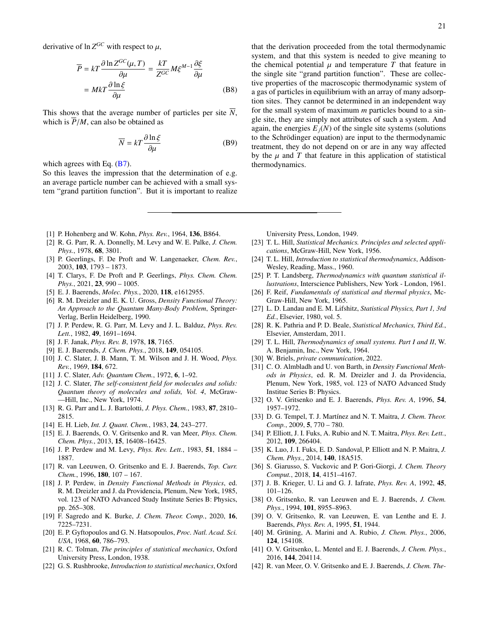$$
\overline{P} = kT \frac{\partial \ln Z^{GC}(\mu, T)}{\partial \mu} = \frac{kT}{Z^{GC}} M \xi^{M-1} \frac{\partial \xi}{\partial \mu}
$$

$$
= MkT \frac{\partial \ln \xi}{\partial \mu}
$$
(B8)

This shows that the average number of particles per site  $\overline{N}$ , which is  $\overline{P}/M$ , can also be obtained as

$$
\overline{N} = kT \frac{\partial \ln \xi}{\partial \mu}
$$
 (B9)

which agrees with Eq.  $(B7)$ .

So this leaves the impression that the determination of e.g. an average particle number can be achieved with a small system "grand partition function". But it is important to realize that the derivation proceeded from the total thermodynamic system, and that this system is needed to give meaning to the chemical potential  $\mu$  and temperature  $T$  that feature in the single site "grand partition function". These are collective properties of the macroscopic thermodynamic system of a gas of particles in equilibrium with an array of many adsorption sites. They cannot be determined in an independent way for the small system of maximum *m* particles bound to a single site, they are simply not attributes of such a system. And again, the energies  $E_i(N)$  of the single site systems (solutions to the Schrödinger equation) are input to the thermodynamic treatment, they do not depend on or are in any way affected by the  $\mu$  and  $T$  that feature in this application of statistical thermodynamics.

- <span id="page-20-0"></span>[1] P. Hohenberg and W. Kohn, *Phys. Rev.*, 1964, 136, B864.
- <span id="page-20-1"></span>[2] R. G. Parr, R. A. Donnelly, M. Levy and W. E. Palke, *J. Chem. Phys.*, 1978, 68, 3801.
- <span id="page-20-2"></span>[3] P. Geerlings, F. De Proft and W. Langenaeker, *Chem. Rev.*, 2003, 103, 1793 – 1873.
- <span id="page-20-3"></span>[4] T. Clarys, F. De Proft and P. Geerlings, *Phys. Chem. Chem. Phys.*, 2021, 23, 990 – 1005.
- <span id="page-20-4"></span>[5] E. J. Baerends, *Molec. Phys.*, 2020, 118, e1612955.
- <span id="page-20-5"></span>[6] R. M. Dreizler and E. K. U. Gross, *Density Functional Theory: An Approach to the Quantum Many-Body Problem*, Springer-Verlag, Berlin Heidelberg, 1990.
- <span id="page-20-6"></span>[7] J. P. Perdew, R. G. Parr, M. Levy and J. L. Balduz, *Phys. Rev. Lett.*, 1982, 49, 1691–1694.
- <span id="page-20-7"></span>[8] J. F. Janak, *Phys. Rev. B*, 1978, 18, 7165.
- <span id="page-20-8"></span>[9] E. J. Baerends, *J. Chem. Phys.*, 2018, 149, 054105.
- <span id="page-20-9"></span>[10] J. C. Slater, J. B. Mann, T. M. Wilson and J. H. Wood, *Phys. Rev.*, 1969, 184, 672.
- <span id="page-20-37"></span>[11] J. C. Slater, *Adv. Quantum Chem.*, 1972, 6, 1–92.
- <span id="page-20-10"></span>[12] J. C. Slater, *The self-consistent field for molecules and solids: Quantum theory of molecules and solids, Vol. 4*, McGraw- —Hill, Inc., New York, 1974.
- <span id="page-20-11"></span>[13] R. G. Parr and L. J. Bartolotti, *J. Phys. Chem.*, 1983, 87, 2810– 2815.
- <span id="page-20-12"></span>[14] E. H. Lieb, *Int. J. Quant. Chem.*, 1983, 24, 243–277.
- <span id="page-20-13"></span>[15] E. J. Baerends, O. V. Gritsenko and R. van Meer, *Phys. Chem. Chem. Phys.*, 2013, 15, 16408–16425.
- <span id="page-20-14"></span>[16] J. P. Perdew and M. Levy, *Phys. Rev. Lett.*, 1983, 51, 1884 – 1887.
- <span id="page-20-15"></span>[17] R. van Leeuwen, O. Gritsenko and E. J. Baerends, *Top. Curr. Chem.*, 1996, 180, 107 – 167.
- <span id="page-20-16"></span>[18] J. P. Perdew, in *Density Functional Methods in Physics*, ed. R. M. Dreizler and J. da Providencia, Plenum, New York, 1985, vol. 123 of NATO Advanced Study Institute Series B: Physics, pp. 265–308.
- <span id="page-20-17"></span>[19] F. Sagredo and K. Burke, *J. Chem. Theor. Comp.*, 2020, 16, 7225–7231.
- <span id="page-20-18"></span>[20] E. P. Gyftopoulos and G. N. Hatsopoulos, *Proc. Natl. Acad. Sci. USA*, 1968, 60, 786–793.
- <span id="page-20-19"></span>[21] R. C. Tolman, *The principles of statistical mechanics*, Oxford University Press, London, 1938.
- <span id="page-20-40"></span>[22] G. S. Rushbrooke, *Introduction to statistical mechanics*, Oxford

University Press, London, 1949.

- <span id="page-20-21"></span>[23] T. L. Hill, *Statistical Mechanics. Principles and selected applications*, McGraw-Hill, New York, 1956.
- <span id="page-20-24"></span>[24] T. L. Hill, *Introduction to statistical thermodynamics*, Addison-Wesley, Reading, Mass., 1960.
- <span id="page-20-39"></span>[25] P. T. Landsberg, *Thermodynamics with quantum statistical illustrations*, Interscience Publishers, New York - London, 1961.
- <span id="page-20-23"></span>[26] F. Reif, *Fundamentals of statistical and thermal physics*, Mc-Graw-Hill, New York, 1965.
- <span id="page-20-38"></span>[27] L. D. Landau and E. M. Lifshitz, *Statistical Physics, Part 1, 3rd Ed.*, Elsevier, 1980, vol. 5.
- <span id="page-20-20"></span>[28] R. K. Pathria and P. D. Beale, *Statistical Mechanics, Third Ed.*, Elsevier, Amsterdam, 2011.
- <span id="page-20-22"></span>[29] T. L. Hill, *Thermodynamics of small systems. Part I and II*, W. A. Benjamin, Inc., New York, 1964.
- <span id="page-20-25"></span>[30] W. Briels, *private communication*, 2022.
- <span id="page-20-26"></span>[31] C. O. Almbladh and U. von Barth, in *Density Functional Methods in Physics*, ed. R. M. Dreizler and J. da Providencia, Plenum, New York, 1985, vol. 123 of NATO Advanced Study Institue Series B: Physics.
- <span id="page-20-27"></span>[32] O. V. Gritsenko and E. J. Baerends, *Phys. Rev. A*, 1996, 54, 1957–1972.
- <span id="page-20-28"></span>[33] D. G. Tempel, T. J. Martínez and N. T. Maitra, *J. Chem. Theor. Comp.*, 2009, 5, 770 – 780.
- <span id="page-20-29"></span>[34] P. Elliott, J. I. Fuks, A. Rubio and N. T. Maitra, *Phys. Rev. Lett.*, 2012, 109, 266404.
- <span id="page-20-30"></span>[35] K. Luo, J. I. Fuks, E. D. Sandoval, P. Elliott and N. P. Maitra, *J. Chem. Phys.*, 2014, 140, 18A515.
- <span id="page-20-31"></span>[36] S. Giarusso, S. Vuckovic and P. Gori-Giorgi, *J. Chem. Theory Comput.*, 2018, 14, 4151–4167.
- <span id="page-20-32"></span>[37] J. B. Krieger, U. Li and G. J. Iafrate, *Phys. Rev. A*, 1992, 45, 101–126.
- [38] O. Gritsenko, R. van Leeuwen and E. J. Baerends, *J. Chem. Phys.*, 1994, 101, 8955–8963.
- <span id="page-20-33"></span>[39] O. V. Gritsenko, R. van Leeuwen, E. van Lenthe and E. J. Baerends, *Phys. Rev. A*, 1995, 51, 1944.
- <span id="page-20-34"></span>[40] M. Grüning, A. Marini and A. Rubio, *J. Chem. Phys.*, 2006, 124, 154108.
- <span id="page-20-35"></span>[41] O. V. Gritsenko, L. Mentel and E. J. Baerends, *J. Chem. Phys.*, 2016, 144, 204114.
- <span id="page-20-36"></span>[42] R. van Meer, O. V. Gritsenko and E. J. Baerends, *J. Chem. The-*